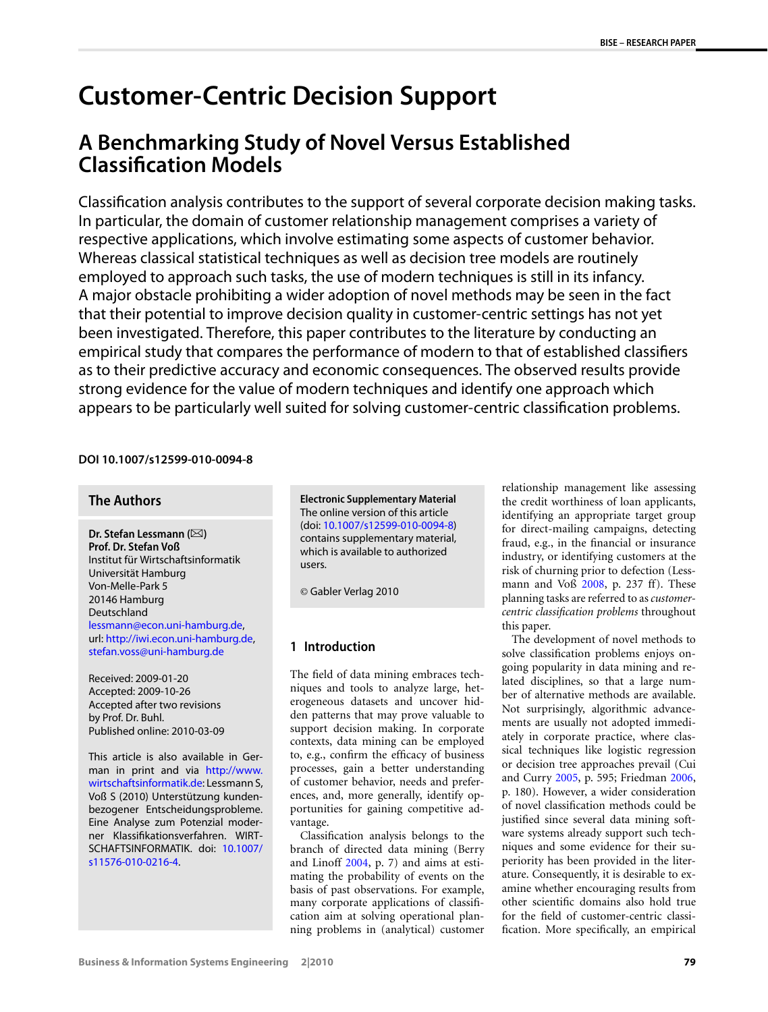# **Customer-Centric Decision Support**

## **A Benchmarking Study of Novel Versus Established Classification Models**

Classification analysis contributes to the support of several corporate decision making tasks. In particular, the domain of customer relationship management comprises a variety of respective applications, which involve estimating some aspects of customer behavior. Whereas classical statistical techniques as well as decision tree models are routinely employed to approach such tasks, the use of modern techniques is still in its infancy. A major obstacle prohibiting a wider adoption of novel methods may be seen in the fact that their potential to improve decision quality in customer-centric settings has not yet been investigated. Therefore, this paper contributes to the literature by conducting an empirical study that compares the performance of modern to that of established classifiers as to their predictive accuracy and economic consequences. The observed results provide strong evidence for the value of modern techniques and identify one approach which appears to be particularly well suited for solving customer-centric classification problems.

#### **DOI 10.1007/s12599-010-0094-8**

### **The Authors**

**Dr. Stefan Lessmann (⊠) Prof. Dr. Stefan Voß** Institut für Wirtschaftsinformatik Universität Hamburg Von-Melle-Park 5 20146 Hamburg Deutschland [lessmann@econ.uni-hamburg.de,](mailto:lessmann@econ.uni-hamburg.de) url: <http://iwi.econ.uni-hamburg.de>, [stefan.voss@uni-hamburg.de](mailto:stefan.voss@uni-hamburg.de)

Received: 2009-01-20 Accepted: 2009-10-26 Accepted after two revisions by Prof. Dr. Buhl. Published online: 2010-03-09

This article is also available in German in print and via [http://www.](http://www.wirtschaftsinformatik.de) [wirtschaftsinformatik.de:](http://www.wirtschaftsinformatik.de) Lessmann S, Voß S (2010) Unterstützung kundenbezogener Entscheidungsprobleme. Eine Analyse zum Potenzial moderner Klassifikationsverfahren. WIRT-SCHAFTSINFORMATIK. doi: [10.1007/](http://dx.doi.org/10.1007/s11576-010-0216-4) [s11576-010-0216-4](http://dx.doi.org/10.1007/s11576-010-0216-4).

**Electronic Supplementary Material** The online version of this article (doi: [10.1007/s12599-010-0094-8](http://dx.doi.org/10.1007/s12599-010-0094-8)) contains supplementary material, which is available to authorized users.

© Gabler Verlag 2010

### **1 Introduction**

The field of data mining embraces techniques and tools to analyze large, heterogeneous datasets and uncover hidden patterns that may prove valuable to support decision making. In corporate contexts, data mining can be employed to, e.g., confirm the efficacy of business processes, gain a better understanding of customer behavior, needs and preferences, and, more generally, identify opportunities for gaining competitive advantage.

Classification analysis belongs to the branch of directed data mining (Berry and Linoff [2004](#page-13-0), p. 7) and aims at estimating the probability of events on the basis of past observations. For example, many corporate applications of classification aim at solving operational planning problems in (analytical) customer relationship management like assessing the credit worthiness of loan applicants, identifying an appropriate target group for direct-mailing campaigns, detecting fraud, e.g., in the financial or insurance industry, or identifying customers at the risk of churning prior to defection (Lessmann and Voß [2008,](#page-13-0) p. 237 ff). These planning tasks are referred to as*customercentric classification problems* throughout this paper.

The development of novel methods to solve classification problems enjoys ongoing popularity in data mining and related disciplines, so that a large number of alternative methods are available. Not surprisingly, algorithmic advancements are usually not adopted immediately in corporate practice, where classical techniques like logistic regression or decision tree approaches prevail (Cui and Curry [2005,](#page-13-0) p. 595; Friedman [2006,](#page-13-0) p. 180). However, a wider consideration of novel classification methods could be justified since several data mining software systems already support such techniques and some evidence for their superiority has been provided in the literature. Consequently, it is desirable to examine whether encouraging results from other scientific domains also hold true for the field of customer-centric classification. More specifically, an empirical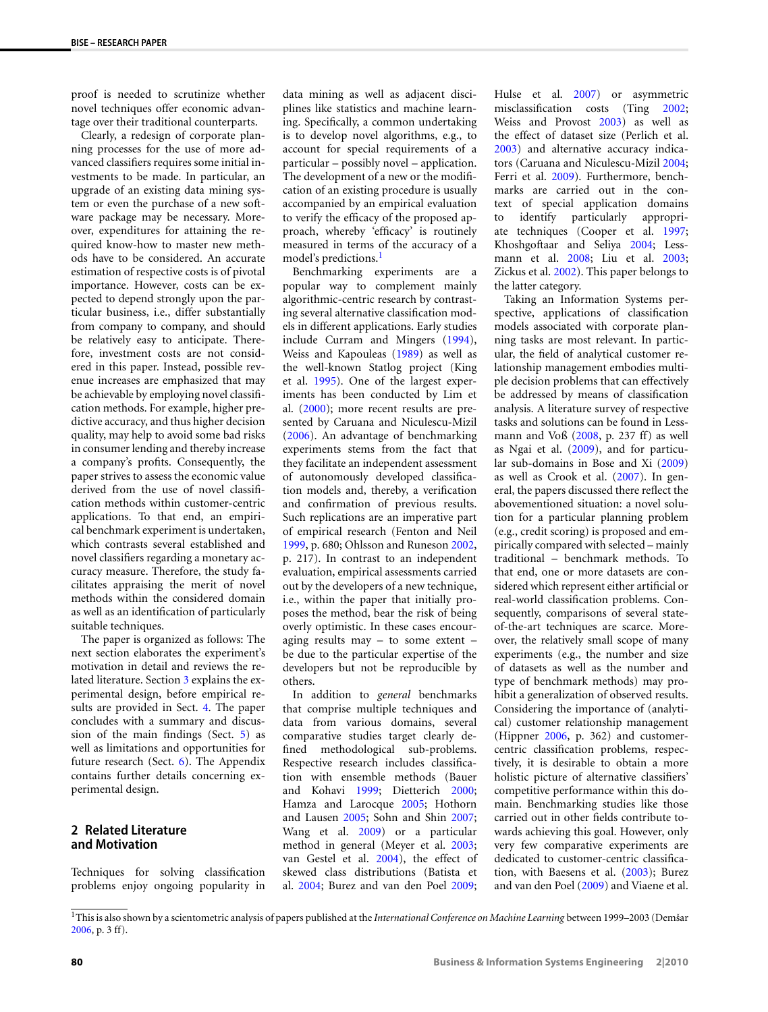proof is needed to scrutinize whether novel techniques offer economic advantage over their traditional counterparts.

Clearly, a redesign of corporate planning processes for the use of more advanced classifiers requires some initial investments to be made. In particular, an upgrade of an existing data mining system or even the purchase of a new software package may be necessary. Moreover, expenditures for attaining the required know-how to master new methods have to be considered. An accurate estimation of respective costs is of pivotal importance. However, costs can be expected to depend strongly upon the particular business, i.e., differ substantially from company to company, and should be relatively easy to anticipate. Therefore, investment costs are not considered in this paper. Instead, possible revenue increases are emphasized that may be achievable by employing novel classification methods. For example, higher predictive accuracy, and thus higher decision quality, may help to avoid some bad risks in consumer lending and thereby increase a company's profits. Consequently, the paper strives to assess the economic value derived from the use of novel classification methods within customer-centric applications. To that end, an empirical benchmark experiment is undertaken, which contrasts several established and novel classifiers regarding a monetary accuracy measure. Therefore, the study facilitates appraising the merit of novel methods within the considered domain as well as an identification of particularly suitable techniques.

The paper is organized as follows: The next section elaborates the experiment's motivation in detail and reviews the related literature. Section [3](#page-2-0) explains the experimental design, before empirical results are provided in Sect. [4](#page-4-0). The paper concludes with a summary and discussion of the main findings (Sect. [5](#page-9-0)) as well as limitations and opportunities for future research (Sect. [6](#page-11-0)). The Appendix contains further details concerning experimental design.

### **2 Related Literature and Motivation**

Techniques for solving classification problems enjoy ongoing popularity in data mining as well as adjacent disciplines like statistics and machine learning. Specifically, a common undertaking is to develop novel algorithms, e.g., to account for special requirements of a particular – possibly novel – application. The development of a new or the modification of an existing procedure is usually accompanied by an empirical evaluation to verify the efficacy of the proposed approach, whereby 'efficacy' is routinely measured in terms of the accuracy of a model's predictions.<sup>1</sup>

Benchmarking experiments are a popular way to complement mainly algorithmic-centric research by contrasting several alternative classification models in different applications. Early studies include Curram and Mingers [\(1994](#page-13-0)), Weiss and Kapouleas ([1989\)](#page-13-0) as well as the well-known Statlog project (King et al. [1995\)](#page-13-0). One of the largest experiments has been conducted by Lim et al. [\(2000](#page-13-0)); more recent results are presented by Caruana and Niculescu-Mizil [\(2006\)](#page-13-0). An advantage of benchmarking experiments stems from the fact that they facilitate an independent assessment of autonomously developed classification models and, thereby, a verification and confirmation of previous results. Such replications are an imperative part of empirical research (Fenton and Neil [1999](#page-13-0), p. 680; Ohlsson and Runeson [2002,](#page-13-0) p. 217). In contrast to an independent evaluation, empirical assessments carried out by the developers of a new technique, i.e., within the paper that initially proposes the method, bear the risk of being overly optimistic. In these cases encouraging results may – to some extent – be due to the particular expertise of the developers but not be reproducible by others.

In addition to *general* benchmarks that comprise multiple techniques and data from various domains, several comparative studies target clearly defined methodological sub-problems. Respective research includes classification with ensemble methods (Bauer and Kohavi [1999;](#page-13-0) Dietterich [2000;](#page-13-0) Hamza and Larocque [2005](#page-13-0); Hothorn and Lausen [2005](#page-13-0); Sohn and Shin [2007;](#page-13-0) Wang et al. [2009\)](#page-13-0) or a particular method in general (Meyer et al. [2003;](#page-13-0) van Gestel et al. [2004\)](#page-13-0), the effect of skewed class distributions (Batista et al. [2004](#page-13-0); Burez and van den Poel [2009;](#page-13-0)

Hulse et al. [2007](#page-13-0)) or asymmetric misclassification costs (Ting [2002;](#page-13-0) Weiss and Provost [2003\)](#page-14-0) as well as the effect of dataset size (Perlich et al. [2003](#page-13-0)) and alternative accuracy indicators (Caruana and Niculescu-Mizil [2004;](#page-13-0) Ferri et al. [2009\)](#page-13-0). Furthermore, benchmarks are carried out in the context of special application domains to identify particularly appropriate techniques (Cooper et al. [1997;](#page-13-0) Khoshgoftaar and Seliya [2004;](#page-13-0) Lessmann et al. [2008;](#page-13-0) Liu et al. [2003;](#page-13-0) Zickus et al. [2002\)](#page-14-0). This paper belongs to the latter category.

Taking an Information Systems perspective, applications of classification models associated with corporate planning tasks are most relevant. In particular, the field of analytical customer relationship management embodies multiple decision problems that can effectively be addressed by means of classification analysis. A literature survey of respective tasks and solutions can be found in Lessmann and Voß [\(2008](#page-13-0), p. 237 ff) as well as Ngai et al. ([2009](#page-13-0)), and for particular sub-domains in Bose and Xi [\(2009\)](#page-13-0) as well as Crook et al. ([2007\)](#page-13-0). In general, the papers discussed there reflect the abovementioned situation: a novel solution for a particular planning problem (e.g., credit scoring) is proposed and empirically compared with selected – mainly traditional – benchmark methods. To that end, one or more datasets are considered which represent either artificial or real-world classification problems. Consequently, comparisons of several stateof-the-art techniques are scarce. Moreover, the relatively small scope of many experiments (e.g., the number and size of datasets as well as the number and type of benchmark methods) may prohibit a generalization of observed results. Considering the importance of (analytical) customer relationship management (Hippner [2006](#page-13-0), p. 362) and customercentric classification problems, respectively, it is desirable to obtain a more holistic picture of alternative classifiers' competitive performance within this domain. Benchmarking studies like those carried out in other fields contribute towards achieving this goal. However, only very few comparative experiments are dedicated to customer-centric classification, with Baesens et al. [\(2003](#page-12-0)); Burez and van den Poel ([2009\)](#page-13-0) and Viaene et al.

<sup>1</sup>This is also shown by a scientometric analysis of papers published at the *International Conference on Machine Learning* between 1999–2003 (Demšar [2006](#page-13-0), p. 3 ff).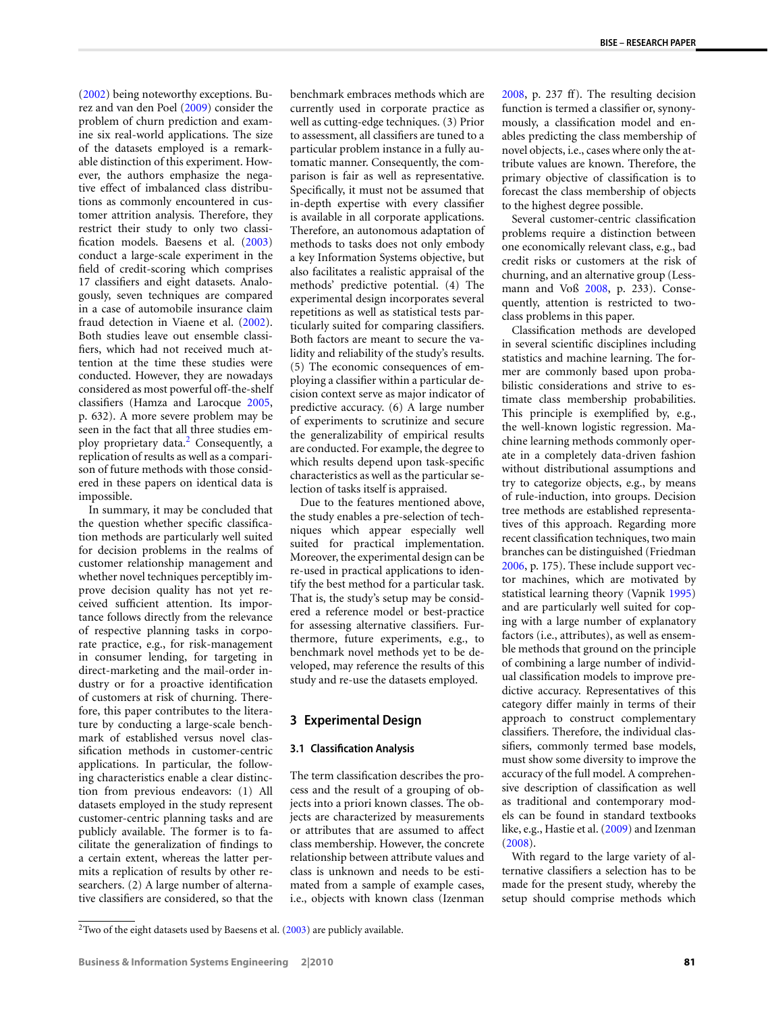<span id="page-2-0"></span>[\(2002](#page-13-0)) being noteworthy exceptions. Burez and van den Poel [\(2009\)](#page-13-0) consider the problem of churn prediction and examine six real-world applications. The size of the datasets employed is a remarkable distinction of this experiment. However, the authors emphasize the negative effect of imbalanced class distributions as commonly encountered in customer attrition analysis. Therefore, they restrict their study to only two classification models. Baesens et al. [\(2003](#page-12-0)) conduct a large-scale experiment in the field of credit-scoring which comprises 17 classifiers and eight datasets. Analogously, seven techniques are compared in a case of automobile insurance claim fraud detection in Viaene et al. [\(2002](#page-13-0)). Both studies leave out ensemble classifiers, which had not received much attention at the time these studies were conducted. However, they are nowadays considered as most powerful off-the-shelf classifiers (Hamza and Larocque [2005,](#page-13-0) p. 632). A more severe problem may be seen in the fact that all three studies employ proprietary data.<sup>2</sup> Consequently, a replication of results as well as a comparison of future methods with those considered in these papers on identical data is impossible.

In summary, it may be concluded that the question whether specific classification methods are particularly well suited for decision problems in the realms of customer relationship management and whether novel techniques perceptibly improve decision quality has not yet received sufficient attention. Its importance follows directly from the relevance of respective planning tasks in corporate practice, e.g., for risk-management in consumer lending, for targeting in direct-marketing and the mail-order industry or for a proactive identification of customers at risk of churning. Therefore, this paper contributes to the literature by conducting a large-scale benchmark of established versus novel classification methods in customer-centric applications. In particular, the following characteristics enable a clear distinction from previous endeavors: (1) All datasets employed in the study represent customer-centric planning tasks and are publicly available. The former is to facilitate the generalization of findings to a certain extent, whereas the latter permits a replication of results by other researchers. (2) A large number of alternative classifiers are considered, so that the benchmark embraces methods which are currently used in corporate practice as well as cutting-edge techniques. (3) Prior to assessment, all classifiers are tuned to a particular problem instance in a fully automatic manner. Consequently, the comparison is fair as well as representative. Specifically, it must not be assumed that in-depth expertise with every classifier is available in all corporate applications. Therefore, an autonomous adaptation of methods to tasks does not only embody a key Information Systems objective, but also facilitates a realistic appraisal of the methods' predictive potential. (4) The experimental design incorporates several repetitions as well as statistical tests particularly suited for comparing classifiers. Both factors are meant to secure the validity and reliability of the study's results. (5) The economic consequences of employing a classifier within a particular decision context serve as major indicator of predictive accuracy. (6) A large number of experiments to scrutinize and secure the generalizability of empirical results are conducted. For example, the degree to which results depend upon task-specific characteristics as well as the particular selection of tasks itself is appraised.

Due to the features mentioned above, the study enables a pre-selection of techniques which appear especially well suited for practical implementation. Moreover, the experimental design can be re-used in practical applications to identify the best method for a particular task. That is, the study's setup may be considered a reference model or best-practice for assessing alternative classifiers. Furthermore, future experiments, e.g., to benchmark novel methods yet to be developed, may reference the results of this study and re-use the datasets employed.

#### **3 Experimental Design**

#### **3.1 Classification Analysis**

The term classification describes the process and the result of a grouping of objects into a priori known classes. The objects are characterized by measurements or attributes that are assumed to affect class membership. However, the concrete relationship between attribute values and class is unknown and needs to be estimated from a sample of example cases, i.e., objects with known class (Izenman [2008](#page-13-0), p. 237 ff). The resulting decision function is termed a classifier or, synonymously, a classification model and enables predicting the class membership of novel objects, i.e., cases where only the attribute values are known. Therefore, the primary objective of classification is to forecast the class membership of objects to the highest degree possible.

Several customer-centric classification problems require a distinction between one economically relevant class, e.g., bad credit risks or customers at the risk of churning, and an alternative group (Lessmann and Voß [2008,](#page-13-0) p. 233). Consequently, attention is restricted to twoclass problems in this paper.

Classification methods are developed in several scientific disciplines including statistics and machine learning. The former are commonly based upon probabilistic considerations and strive to estimate class membership probabilities. This principle is exemplified by, e.g., the well-known logistic regression. Machine learning methods commonly operate in a completely data-driven fashion without distributional assumptions and try to categorize objects, e.g., by means of rule-induction, into groups. Decision tree methods are established representatives of this approach. Regarding more recent classification techniques, two main branches can be distinguished (Friedman [2006](#page-13-0), p. 175). These include support vector machines, which are motivated by statistical learning theory (Vapnik [1995\)](#page-13-0) and are particularly well suited for coping with a large number of explanatory factors (i.e., attributes), as well as ensemble methods that ground on the principle of combining a large number of individual classification models to improve predictive accuracy. Representatives of this category differ mainly in terms of their approach to construct complementary classifiers. Therefore, the individual classifiers, commonly termed base models, must show some diversity to improve the accuracy of the full model. A comprehensive description of classification as well as traditional and contemporary models can be found in standard textbooks like, e.g., Hastie et al. ([2009\)](#page-13-0) and Izenman  $(2008)$ .

With regard to the large variety of alternative classifiers a selection has to be made for the present study, whereby the setup should comprise methods which

 $2$ Two of the eight datasets used by Baesens et al. ([2003\)](#page-12-0) are publicly available.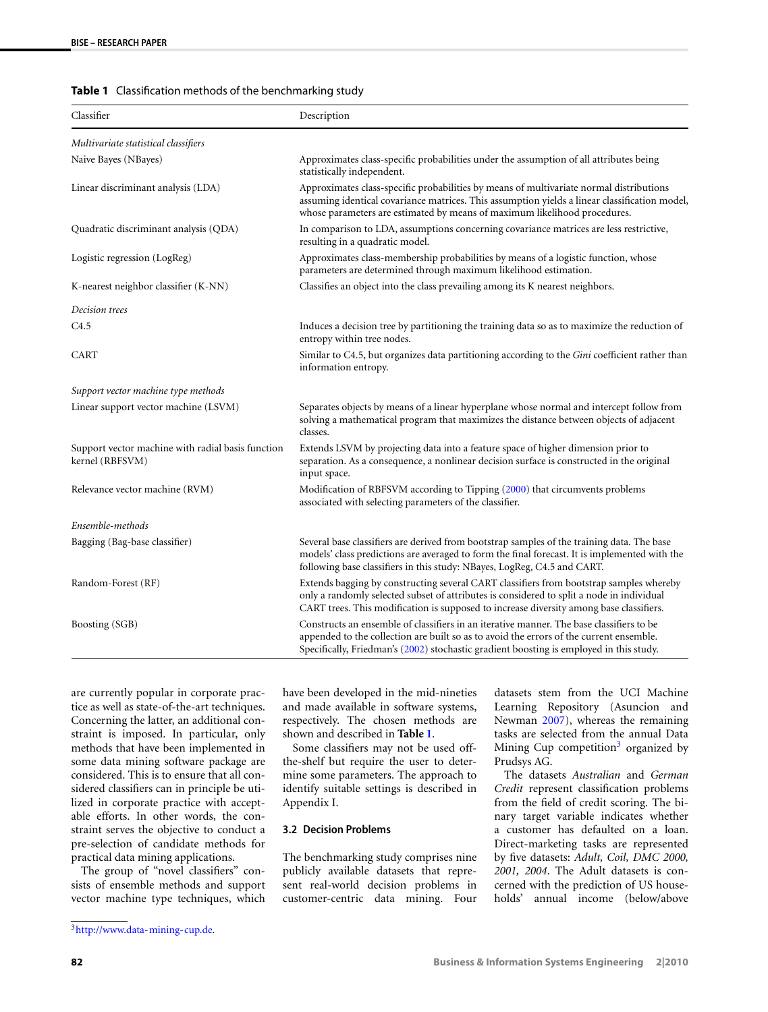<span id="page-3-0"></span>

| Classifier                                                           | Description                                                                                                                                                                                                                                                                     |
|----------------------------------------------------------------------|---------------------------------------------------------------------------------------------------------------------------------------------------------------------------------------------------------------------------------------------------------------------------------|
| Multivariate statistical classifiers                                 |                                                                                                                                                                                                                                                                                 |
| Naive Bayes (NBayes)                                                 | Approximates class-specific probabilities under the assumption of all attributes being<br>statistically independent.                                                                                                                                                            |
| Linear discriminant analysis (LDA)                                   | Approximates class-specific probabilities by means of multivariate normal distributions<br>assuming identical covariance matrices. This assumption yields a linear classification model,<br>whose parameters are estimated by means of maximum likelihood procedures.           |
| Quadratic discriminant analysis (QDA)                                | In comparison to LDA, assumptions concerning covariance matrices are less restrictive,<br>resulting in a quadratic model.                                                                                                                                                       |
| Logistic regression (LogReg)                                         | Approximates class-membership probabilities by means of a logistic function, whose<br>parameters are determined through maximum likelihood estimation.                                                                                                                          |
| K-nearest neighbor classifier (K-NN)                                 | Classifies an object into the class prevailing among its K nearest neighbors.                                                                                                                                                                                                   |
| Decision trees                                                       |                                                                                                                                                                                                                                                                                 |
| C4.5                                                                 | Induces a decision tree by partitioning the training data so as to maximize the reduction of<br>entropy within tree nodes.                                                                                                                                                      |
| <b>CART</b>                                                          | Similar to C4.5, but organizes data partitioning according to the <i>Gini</i> coefficient rather than<br>information entropy.                                                                                                                                                   |
| Support vector machine type methods                                  |                                                                                                                                                                                                                                                                                 |
| Linear support vector machine (LSVM)                                 | Separates objects by means of a linear hyperplane whose normal and intercept follow from<br>solving a mathematical program that maximizes the distance between objects of adjacent<br>classes.                                                                                  |
| Support vector machine with radial basis function<br>kernel (RBFSVM) | Extends LSVM by projecting data into a feature space of higher dimension prior to<br>separation. As a consequence, a nonlinear decision surface is constructed in the original<br>input space.                                                                                  |
| Relevance vector machine (RVM)                                       | Modification of RBFSVM according to Tipping (2000) that circumvents problems<br>associated with selecting parameters of the classifier.                                                                                                                                         |
| Ensemble-methods                                                     |                                                                                                                                                                                                                                                                                 |
| Bagging (Bag-base classifier)                                        | Several base classifiers are derived from bootstrap samples of the training data. The base<br>models' class predictions are averaged to form the final forecast. It is implemented with the<br>following base classifiers in this study: NBayes, LogReg, C4.5 and CART.         |
| Random-Forest (RF)                                                   | Extends bagging by constructing several CART classifiers from bootstrap samples whereby<br>only a randomly selected subset of attributes is considered to split a node in individual<br>CART trees. This modification is supposed to increase diversity among base classifiers. |
| Boosting (SGB)                                                       | Constructs an ensemble of classifiers in an iterative manner. The base classifiers to be<br>appended to the collection are built so as to avoid the errors of the current ensemble.<br>Specifically, Friedman's (2002) stochastic gradient boosting is employed in this study.  |

are currently popular in corporate practice as well as state-of-the-art techniques. Concerning the latter, an additional constraint is imposed. In particular, only methods that have been implemented in some data mining software package are considered. This is to ensure that all considered classifiers can in principle be utilized in corporate practice with acceptable efforts. In other words, the constraint serves the objective to conduct a pre-selection of candidate methods for practical data mining applications.

The group of "novel classifiers" consists of ensemble methods and support vector machine type techniques, which

3[http://www.data-mining-cup.de.](http://www.data-mining-cup.de)

have been developed in the mid-nineties and made available in software systems, respectively. The chosen methods are shown and described in **Table 1**.

Some classifiers may not be used offthe-shelf but require the user to determine some parameters. The approach to identify suitable settings is described in Appendix I.

#### **3.2 Decision Problems**

The benchmarking study comprises nine publicly available datasets that represent real-world decision problems in customer-centric data mining. Four datasets stem from the UCI Machine Learning Repository (Asuncion and Newman [2007](#page-12-0)), whereas the remaining tasks are selected from the annual Data Mining Cup competition<sup>3</sup> organized by Prudsys AG.

The datasets *Australian* and *German Credit* represent classification problems from the field of credit scoring. The binary target variable indicates whether a customer has defaulted on a loan. Direct-marketing tasks are represented by five datasets: *Adult, Coil, DMC 2000, 2001, 2004*. The Adult datasets is concerned with the prediction of US households' annual income (below/above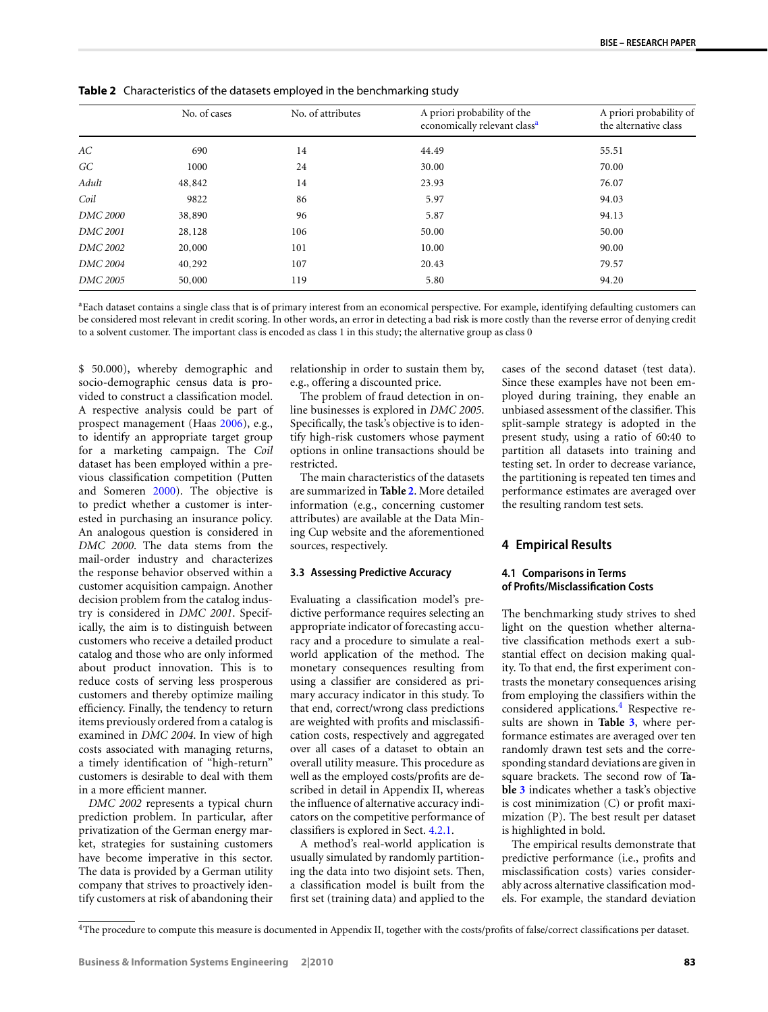|                 | No. of cases | No. of attributes | A priori probability of the<br>economically relevant class <sup>a</sup> | A priori probability of<br>the alternative class |
|-----------------|--------------|-------------------|-------------------------------------------------------------------------|--------------------------------------------------|
| AC              | 690          | 14                | 44.49                                                                   | 55.51                                            |
| GC              | 1000         | 24                | 30.00                                                                   | 70.00                                            |
| Adult           | 48,842       | 14                | 23.93                                                                   | 76.07                                            |
| Coil            | 9822         | 86                | 5.97                                                                    | 94.03                                            |
| <b>DMC 2000</b> | 38,890       | 96                | 5.87                                                                    | 94.13                                            |
| <b>DMC 2001</b> | 28,128       | 106               | 50.00                                                                   | 50.00                                            |
| DMC 2002        | 20,000       | 101               | 10.00                                                                   | 90.00                                            |
| DMC 2004        | 40,292       | 107               | 20.43                                                                   | 79.57                                            |
| <b>DMC 2005</b> | 50,000       | 119               | 5.80                                                                    | 94.20                                            |

<span id="page-4-0"></span>**Table 2** Characteristics of the datasets employed in the benchmarking study

<sup>a</sup>Each dataset contains a single class that is of primary interest from an economical perspective. For example, identifying defaulting customers can be considered most relevant in credit scoring. In other words, an error in detecting a bad risk is more costly than the reverse error of denying credit to a solvent customer. The important class is encoded as class 1 in this study; the alternative group as class 0

\$ 50.000), whereby demographic and socio-demographic census data is provided to construct a classification model. A respective analysis could be part of prospect management (Haas [2006\)](#page-13-0), e.g., to identify an appropriate target group for a marketing campaign. The *Coil* dataset has been employed within a previous classification competition (Putten and Someren [2000](#page-13-0)). The objective is to predict whether a customer is interested in purchasing an insurance policy. An analogous question is considered in *DMC 2000*. The data stems from the mail-order industry and characterizes the response behavior observed within a customer acquisition campaign. Another decision problem from the catalog industry is considered in *DMC 2001*. Specifically, the aim is to distinguish between customers who receive a detailed product catalog and those who are only informed about product innovation. This is to reduce costs of serving less prosperous customers and thereby optimize mailing efficiency. Finally, the tendency to return items previously ordered from a catalog is examined in *DMC 2004*. In view of high costs associated with managing returns, a timely identification of "high-return" customers is desirable to deal with them in a more efficient manner.

*DMC 2002* represents a typical churn prediction problem. In particular, after privatization of the German energy market, strategies for sustaining customers have become imperative in this sector. The data is provided by a German utility company that strives to proactively identify customers at risk of abandoning their relationship in order to sustain them by, e.g., offering a discounted price.

The problem of fraud detection in online businesses is explored in *DMC 2005*. Specifically, the task's objective is to identify high-risk customers whose payment options in online transactions should be restricted.

The main characteristics of the datasets are summarized in **Table 2**. More detailed information (e.g., concerning customer attributes) are available at the Data Mining Cup website and the aforementioned sources, respectively.

#### **3.3 Assessing Predictive Accuracy**

Evaluating a classification model's predictive performance requires selecting an appropriate indicator of forecasting accuracy and a procedure to simulate a realworld application of the method. The monetary consequences resulting from using a classifier are considered as primary accuracy indicator in this study. To that end, correct/wrong class predictions are weighted with profits and misclassification costs, respectively and aggregated over all cases of a dataset to obtain an overall utility measure. This procedure as well as the employed costs/profits are described in detail in Appendix II, whereas the influence of alternative accuracy indicators on the competitive performance of classifiers is explored in Sect. [4.2.1.](#page-7-0)

A method's real-world application is usually simulated by randomly partitioning the data into two disjoint sets. Then, a classification model is built from the first set (training data) and applied to the

cases of the second dataset (test data). Since these examples have not been employed during training, they enable an unbiased assessment of the classifier. This split-sample strategy is adopted in the present study, using a ratio of 60:40 to partition all datasets into training and testing set. In order to decrease variance, the partitioning is repeated ten times and performance estimates are averaged over the resulting random test sets.

#### **4 Empirical Results**

#### **4.1 Comparisons in Terms of Profits/Misclassification Costs**

The benchmarking study strives to shed light on the question whether alternative classification methods exert a substantial effect on decision making quality. To that end, the first experiment contrasts the monetary consequences arising from employing the classifiers within the considered applications.<sup>4</sup> Respective results are shown in **Table [3](#page-5-0)**, where performance estimates are averaged over ten randomly drawn test sets and the corresponding standard deviations are given in square brackets. The second row of **Table [3](#page-5-0)** indicates whether a task's objective is cost minimization (C) or profit maximization (P). The best result per dataset is highlighted in bold.

The empirical results demonstrate that predictive performance (i.e., profits and misclassification costs) varies considerably across alternative classification models. For example, the standard deviation

<sup>&</sup>lt;sup>4</sup>The procedure to compute this measure is documented in Appendix II, together with the costs/profits of false/correct classifications per dataset.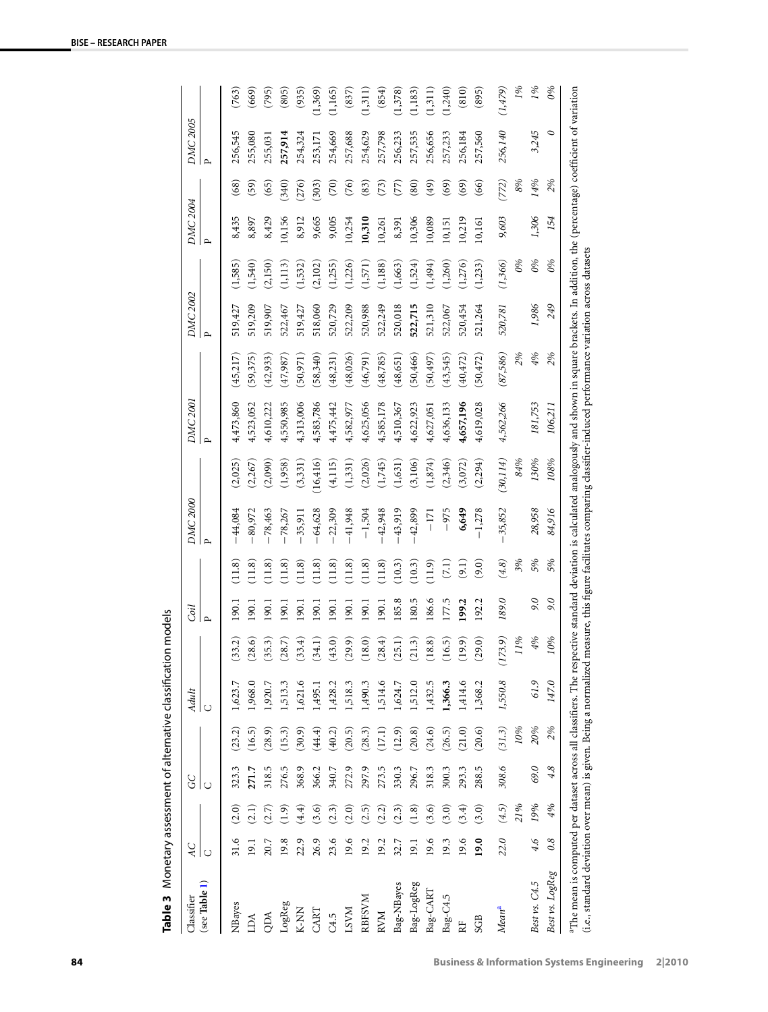<span id="page-5-0"></span>

| 520,988<br>518,060<br>520,729<br>522,209<br>520,018<br>522,715<br>521,310<br>520,454<br>519,209<br>519,907<br>522,467<br>519,427<br>522,249<br>522,067<br>521,264<br>519,427<br>520,781<br>2%<br>(87,586)<br>(58,340)<br>(48, 231)<br>(48, 026)<br>(47, 987)<br>(50, 971)<br>(43,545)<br>(50, 472)<br>(45,217)<br>(42, 933)<br>(46,791)<br>(48,785)<br>(50,466)<br>(50, 497)<br>(40, 472)<br>(59,375)<br>(48, 651)<br>4,657,196<br>,313,006<br>583,786<br>550,985<br>4,625,056<br>4,619,028<br>4,475,442<br>,585,178<br>4,622,923<br>4,636,133<br>4,562,266<br>523,052<br>,610,222<br>4,582,977<br>510,367<br>,473,860<br>4,627,051<br>$\sim$<br>(30, 114)<br>84%<br>(3, 331)<br>16,416)<br>(4, 115)<br>(1, 331)<br>(2,026)<br>(1, 631)<br>(1,874)<br>(2,346)<br>(3,072)<br>(2, 294)<br>(2,090)<br>(1,958)<br>(3, 106)<br>(2,025)<br>(1,745)<br>(2, 267)<br>$-64,628$<br>$-22,309$<br>$-41,948$<br>$-1,504$<br>$-42,948$<br>$-43,919$<br>$-975$<br>6,649<br>$-1,278$<br>$-35,852$<br>$-78,463$<br>$-42,899$<br>$-78,267$<br>$-80,972$<br>$-35,911$<br>44,084<br>$-171$<br>$\sim$<br>3%<br>(4.8)<br>(9.0)<br>(11.8)<br>(11.8)<br>(11.8)<br>(11.8)<br>(11.8)<br>(7.1)<br>(9.1)<br>11.8<br>(1.8)<br>(11.8)<br>(11.8)<br>(11.8)<br>(10.3)<br>(10.3)<br>(11.9)<br>189.0<br>180.5<br>186.6<br>177.5<br>185.8<br>199.2<br>192.2<br>90.1<br>90.1<br>90.1<br>50.1<br>90.1<br>90.1<br>$-90.1$<br>90.1<br>$-90.1$<br>$-50.1$<br>11%<br>(28.4)<br>ට<br>ډ<br>(34.1)<br>6<br>(29.9)<br>(21.3)<br>କ<br>ରି<br>∾<br>∞<br>$\widehat{5}$<br>(28.7)<br>(173.9)<br>(33.<br>(29.0)<br>(28.<br>(43.<br>(35.<br>(18.<br>(18.<br>(16.<br>(25,<br>(19.<br>(33.<br>1,550.8<br>1,414.6<br>1,621.6<br>1,490.3<br>1,514.6<br>1,512.0<br>1,432.5<br>1,366.3<br>1,368.2<br>1,968.0<br>1,920.7<br>1,513.3<br>1,428.2<br>1,518.3<br>1,624.7<br>1,623.7<br>1,495.1<br>Õ<br>(31.3)<br>(44.4)<br>(21.0)<br>(20.6)<br>10%<br>(28.9)<br>(15.3)<br>(30.9)<br>(40.2)<br>(20.5)<br>(28.3)<br>(20.8)<br>(24.6)<br>(16.5)<br>(12.9)<br>(26.5)<br>(23.2)<br>(17.1)<br>308.6<br>288.5<br>318.5<br>276.5<br>368.9<br>366.2<br>323.3<br>272.9<br>297.9<br>273.5<br>318.3<br>300.3<br>293.3<br>271.7<br>340.7<br>330.3<br>296.7<br>$\circ$<br>(3.0)<br>(4.5)<br>21%<br>(3.4)<br>(2.1)<br>(4.4)<br>(3.6)<br>(2.3)<br>(2.0)<br>(2.5)<br>(2.3)<br>(1.8)<br>(3.6)<br>(3.0)<br>(2.0)<br>(2.7)<br>$\overline{1.9}$<br>(2.2)<br>22.0<br>26.9<br>23.6<br>19.6<br>19.6<br>19.0<br>31.6<br>22.9<br>19.6<br>19.3<br>20.7<br>19.8<br>19.2<br>19.2<br>32.7<br>19.1<br><u>io</u> 1<br>O<br>(see Table 1)<br>Bag-LogReg<br>Bag-NBayes<br>Bag-CART<br>Bag-C4.5<br>RBFSVM<br>LogReg<br>NBayes<br>Mean <sup>a</sup><br>K-NN<br><b>ISVM</b><br>CART<br><b>RVM</b><br>C4.5<br>QDA<br>LDA<br>SGB<br>RF |  | <b>GC</b> | Adult | Coil | <b>DMC 2000</b> | DMC 200 | <b>DMC 2002</b> |                        | <b>DMC 2004</b> |                   | <b>DMC 2005</b> |                        |
|----------------------------------------------------------------------------------------------------------------------------------------------------------------------------------------------------------------------------------------------------------------------------------------------------------------------------------------------------------------------------------------------------------------------------------------------------------------------------------------------------------------------------------------------------------------------------------------------------------------------------------------------------------------------------------------------------------------------------------------------------------------------------------------------------------------------------------------------------------------------------------------------------------------------------------------------------------------------------------------------------------------------------------------------------------------------------------------------------------------------------------------------------------------------------------------------------------------------------------------------------------------------------------------------------------------------------------------------------------------------------------------------------------------------------------------------------------------------------------------------------------------------------------------------------------------------------------------------------------------------------------------------------------------------------------------------------------------------------------------------------------------------------------------------------------------------------------------------------------------------------------------------------------------------------------------------------------------------------------------------------------------------------------------------------------------------------------------------------------------------------------------------------------------------------------------------------------------------------------------------------------------------------------------------------------------------------------------------------------------------------------------------------------------------------------------------------------------------------------------------------------------------------------------------------------------------------------------------------------------------------------------------------------------------------------------------------------------------------------|--|-----------|-------|------|-----------------|---------|-----------------|------------------------|-----------------|-------------------|-----------------|------------------------|
|                                                                                                                                                                                                                                                                                                                                                                                                                                                                                                                                                                                                                                                                                                                                                                                                                                                                                                                                                                                                                                                                                                                                                                                                                                                                                                                                                                                                                                                                                                                                                                                                                                                                                                                                                                                                                                                                                                                                                                                                                                                                                                                                                                                                                                                                                                                                                                                                                                                                                                                                                                                                                                                                                                                                  |  |           |       |      |                 |         |                 |                        | $\sim$          |                   | $\sim$          |                        |
|                                                                                                                                                                                                                                                                                                                                                                                                                                                                                                                                                                                                                                                                                                                                                                                                                                                                                                                                                                                                                                                                                                                                                                                                                                                                                                                                                                                                                                                                                                                                                                                                                                                                                                                                                                                                                                                                                                                                                                                                                                                                                                                                                                                                                                                                                                                                                                                                                                                                                                                                                                                                                                                                                                                                  |  |           |       |      |                 |         |                 | (1,585)                | 8,435           | $\left( 8\right)$ | 256,545         | (763)                  |
|                                                                                                                                                                                                                                                                                                                                                                                                                                                                                                                                                                                                                                                                                                                                                                                                                                                                                                                                                                                                                                                                                                                                                                                                                                                                                                                                                                                                                                                                                                                                                                                                                                                                                                                                                                                                                                                                                                                                                                                                                                                                                                                                                                                                                                                                                                                                                                                                                                                                                                                                                                                                                                                                                                                                  |  |           |       |      |                 |         |                 | (1,540)                | 8,897           | $\left(5\right)$  | 255,080         | (669)                  |
|                                                                                                                                                                                                                                                                                                                                                                                                                                                                                                                                                                                                                                                                                                                                                                                                                                                                                                                                                                                                                                                                                                                                                                                                                                                                                                                                                                                                                                                                                                                                                                                                                                                                                                                                                                                                                                                                                                                                                                                                                                                                                                                                                                                                                                                                                                                                                                                                                                                                                                                                                                                                                                                                                                                                  |  |           |       |      |                 |         |                 | (2, 150)               | 8,429           | (65)              | 255,031         | (795)                  |
|                                                                                                                                                                                                                                                                                                                                                                                                                                                                                                                                                                                                                                                                                                                                                                                                                                                                                                                                                                                                                                                                                                                                                                                                                                                                                                                                                                                                                                                                                                                                                                                                                                                                                                                                                                                                                                                                                                                                                                                                                                                                                                                                                                                                                                                                                                                                                                                                                                                                                                                                                                                                                                                                                                                                  |  |           |       |      |                 |         |                 | (1,113)                | 10,156          | 340)              | 257,914         | (805)                  |
|                                                                                                                                                                                                                                                                                                                                                                                                                                                                                                                                                                                                                                                                                                                                                                                                                                                                                                                                                                                                                                                                                                                                                                                                                                                                                                                                                                                                                                                                                                                                                                                                                                                                                                                                                                                                                                                                                                                                                                                                                                                                                                                                                                                                                                                                                                                                                                                                                                                                                                                                                                                                                                                                                                                                  |  |           |       |      |                 |         |                 | (1,532)                | 8,912           | 276)              | 254,324         | (935)                  |
|                                                                                                                                                                                                                                                                                                                                                                                                                                                                                                                                                                                                                                                                                                                                                                                                                                                                                                                                                                                                                                                                                                                                                                                                                                                                                                                                                                                                                                                                                                                                                                                                                                                                                                                                                                                                                                                                                                                                                                                                                                                                                                                                                                                                                                                                                                                                                                                                                                                                                                                                                                                                                                                                                                                                  |  |           |       |      |                 |         |                 | (2,102)                | 9,665           | 303)              | 253,171         | (1,369)                |
|                                                                                                                                                                                                                                                                                                                                                                                                                                                                                                                                                                                                                                                                                                                                                                                                                                                                                                                                                                                                                                                                                                                                                                                                                                                                                                                                                                                                                                                                                                                                                                                                                                                                                                                                                                                                                                                                                                                                                                                                                                                                                                                                                                                                                                                                                                                                                                                                                                                                                                                                                                                                                                                                                                                                  |  |           |       |      |                 |         |                 | (1, 255)               | 9,005           | (70)              | 254,669         | (1,165)                |
|                                                                                                                                                                                                                                                                                                                                                                                                                                                                                                                                                                                                                                                                                                                                                                                                                                                                                                                                                                                                                                                                                                                                                                                                                                                                                                                                                                                                                                                                                                                                                                                                                                                                                                                                                                                                                                                                                                                                                                                                                                                                                                                                                                                                                                                                                                                                                                                                                                                                                                                                                                                                                                                                                                                                  |  |           |       |      |                 |         |                 | (1, 226)               | 10,254          | (76)              | 257,688         | (837)                  |
|                                                                                                                                                                                                                                                                                                                                                                                                                                                                                                                                                                                                                                                                                                                                                                                                                                                                                                                                                                                                                                                                                                                                                                                                                                                                                                                                                                                                                                                                                                                                                                                                                                                                                                                                                                                                                                                                                                                                                                                                                                                                                                                                                                                                                                                                                                                                                                                                                                                                                                                                                                                                                                                                                                                                  |  |           |       |      |                 |         |                 | (1,571)                | 10,310          | (83)              | 254,629         | 1,311                  |
|                                                                                                                                                                                                                                                                                                                                                                                                                                                                                                                                                                                                                                                                                                                                                                                                                                                                                                                                                                                                                                                                                                                                                                                                                                                                                                                                                                                                                                                                                                                                                                                                                                                                                                                                                                                                                                                                                                                                                                                                                                                                                                                                                                                                                                                                                                                                                                                                                                                                                                                                                                                                                                                                                                                                  |  |           |       |      |                 |         |                 | (1, 188)               | 10,261          | (73)              | 257,798         | (854)                  |
|                                                                                                                                                                                                                                                                                                                                                                                                                                                                                                                                                                                                                                                                                                                                                                                                                                                                                                                                                                                                                                                                                                                                                                                                                                                                                                                                                                                                                                                                                                                                                                                                                                                                                                                                                                                                                                                                                                                                                                                                                                                                                                                                                                                                                                                                                                                                                                                                                                                                                                                                                                                                                                                                                                                                  |  |           |       |      |                 |         |                 | (1,663)                | 8,391           | $(\Sigma)$        | 256,233         | (1,378)                |
|                                                                                                                                                                                                                                                                                                                                                                                                                                                                                                                                                                                                                                                                                                                                                                                                                                                                                                                                                                                                                                                                                                                                                                                                                                                                                                                                                                                                                                                                                                                                                                                                                                                                                                                                                                                                                                                                                                                                                                                                                                                                                                                                                                                                                                                                                                                                                                                                                                                                                                                                                                                                                                                                                                                                  |  |           |       |      |                 |         |                 | (1,524)                | 10,306          | (80)              | 257,535         | 1,183                  |
|                                                                                                                                                                                                                                                                                                                                                                                                                                                                                                                                                                                                                                                                                                                                                                                                                                                                                                                                                                                                                                                                                                                                                                                                                                                                                                                                                                                                                                                                                                                                                                                                                                                                                                                                                                                                                                                                                                                                                                                                                                                                                                                                                                                                                                                                                                                                                                                                                                                                                                                                                                                                                                                                                                                                  |  |           |       |      |                 |         |                 | (1,494)                | 10,089          | (49)              | 256,656         | 1,311                  |
|                                                                                                                                                                                                                                                                                                                                                                                                                                                                                                                                                                                                                                                                                                                                                                                                                                                                                                                                                                                                                                                                                                                                                                                                                                                                                                                                                                                                                                                                                                                                                                                                                                                                                                                                                                                                                                                                                                                                                                                                                                                                                                                                                                                                                                                                                                                                                                                                                                                                                                                                                                                                                                                                                                                                  |  |           |       |      |                 |         |                 | (1,260)                | 10,151          | (69)              | 257,233         | 1,240)                 |
|                                                                                                                                                                                                                                                                                                                                                                                                                                                                                                                                                                                                                                                                                                                                                                                                                                                                                                                                                                                                                                                                                                                                                                                                                                                                                                                                                                                                                                                                                                                                                                                                                                                                                                                                                                                                                                                                                                                                                                                                                                                                                                                                                                                                                                                                                                                                                                                                                                                                                                                                                                                                                                                                                                                                  |  |           |       |      |                 |         |                 | (1, 276)               | 10,219          | (69)              | 256,184         | (810)                  |
|                                                                                                                                                                                                                                                                                                                                                                                                                                                                                                                                                                                                                                                                                                                                                                                                                                                                                                                                                                                                                                                                                                                                                                                                                                                                                                                                                                                                                                                                                                                                                                                                                                                                                                                                                                                                                                                                                                                                                                                                                                                                                                                                                                                                                                                                                                                                                                                                                                                                                                                                                                                                                                                                                                                                  |  |           |       |      |                 |         |                 | (1, 233)               | 10,161          | (66)              | 257,560         | (895)                  |
|                                                                                                                                                                                                                                                                                                                                                                                                                                                                                                                                                                                                                                                                                                                                                                                                                                                                                                                                                                                                                                                                                                                                                                                                                                                                                                                                                                                                                                                                                                                                                                                                                                                                                                                                                                                                                                                                                                                                                                                                                                                                                                                                                                                                                                                                                                                                                                                                                                                                                                                                                                                                                                                                                                                                  |  |           |       |      |                 |         |                 | (1,366)                | 9,603           | 772)              | 256,140         | (1, 479)               |
|                                                                                                                                                                                                                                                                                                                                                                                                                                                                                                                                                                                                                                                                                                                                                                                                                                                                                                                                                                                                                                                                                                                                                                                                                                                                                                                                                                                                                                                                                                                                                                                                                                                                                                                                                                                                                                                                                                                                                                                                                                                                                                                                                                                                                                                                                                                                                                                                                                                                                                                                                                                                                                                                                                                                  |  |           |       |      |                 |         |                 | 0%                     |                 | 8%                |                 | 1%                     |
| 1,986<br>4%<br>181,753<br>130%<br>28,958<br>5%<br>9.0<br>4%<br>61.9<br>20%<br>69.0<br>19%<br>4.6<br>Best vs. C4.5                                                                                                                                                                                                                                                                                                                                                                                                                                                                                                                                                                                                                                                                                                                                                                                                                                                                                                                                                                                                                                                                                                                                                                                                                                                                                                                                                                                                                                                                                                                                                                                                                                                                                                                                                                                                                                                                                                                                                                                                                                                                                                                                                                                                                                                                                                                                                                                                                                                                                                                                                                                                                |  |           |       |      |                 |         |                 | 0%                     | 1,306           | 14%               | 3,245           | 1%                     |
| 249<br>2%<br>106,211<br>108%<br>84,916<br>5%<br>9.0<br>%<br>Š<br>147.0<br>2%<br>4.8<br>4%<br>0.8<br>Best vs. LogReg                                                                                                                                                                                                                                                                                                                                                                                                                                                                                                                                                                                                                                                                                                                                                                                                                                                                                                                                                                                                                                                                                                                                                                                                                                                                                                                                                                                                                                                                                                                                                                                                                                                                                                                                                                                                                                                                                                                                                                                                                                                                                                                                                                                                                                                                                                                                                                                                                                                                                                                                                                                                              |  |           |       |      |                 |         |                 | $\partial^o\!\!\delta$ | 154             | 2%                | 0               | $\partial^o\!\!\delta$ |

**Table 3** Monetary assessment of alternative classification models

Table 3 Monetary assessment of alternative classification models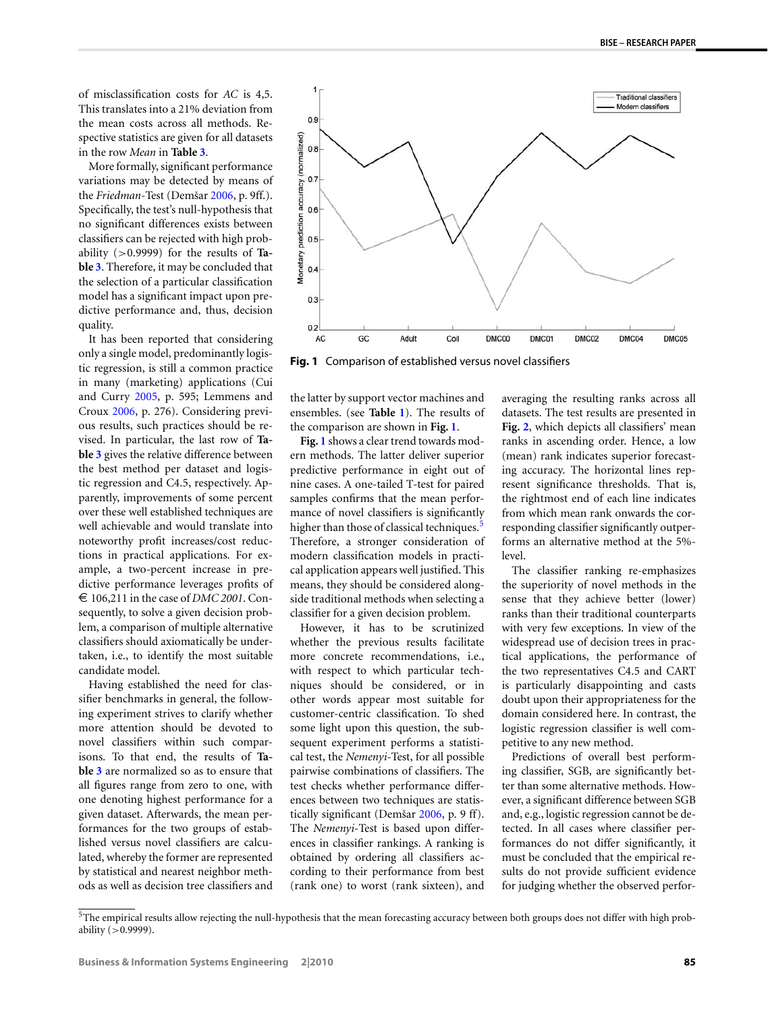of misclassification costs for *AC* is 4,5. This translates into a 21% deviation from the mean costs across all methods. Respective statistics are given for all datasets in the row *Mean* in **Table [3](#page-5-0)**.

More formally, significant performance variations may be detected by means of the *Friedman*-Test (Demšar [2006](#page-13-0), p. 9ff.). Specifically, the test's null-hypothesis that no significant differences exists between classifiers can be rejected with high probability (*>*0.9999) for the results of **Table [3](#page-5-0)**. Therefore, it may be concluded that the selection of a particular classification model has a significant impact upon predictive performance and, thus, decision quality.

It has been reported that considering only a single model, predominantly logistic regression, is still a common practice in many (marketing) applications (Cui and Curry [2005,](#page-13-0) p. 595; Lemmens and Croux [2006,](#page-13-0) p. 276). Considering previous results, such practices should be revised. In particular, the last row of **Table [3](#page-5-0)** gives the relative difference between the best method per dataset and logistic regression and C4.5, respectively. Apparently, improvements of some percent over these well established techniques are well achievable and would translate into noteworthy profit increases/cost reductions in practical applications. For example, a two-percent increase in predictive performance leverages profits of € 106,211 in the case of *DMC 2001*. Consequently, to solve a given decision problem, a comparison of multiple alternative classifiers should axiomatically be undertaken, i.e., to identify the most suitable candidate model.

Having established the need for classifier benchmarks in general, the following experiment strives to clarify whether more attention should be devoted to novel classifiers within such comparisons. To that end, the results of **Table [3](#page-5-0)** are normalized so as to ensure that all figures range from zero to one, with one denoting highest performance for a given dataset. Afterwards, the mean performances for the two groups of established versus novel classifiers are calculated, whereby the former are represented by statistical and nearest neighbor methods as well as decision tree classifiers and



**Fig. 1** Comparison of established versus novel classifiers

the latter by support vector machines and ensembles. (see **Table [1](#page-3-0)**). The results of the comparison are shown in **Fig. 1**.

**Fig. 1** shows a clear trend towards modern methods. The latter deliver superior predictive performance in eight out of nine cases. A one-tailed T-test for paired samples confirms that the mean performance of novel classifiers is significantly higher than those of classical techniques.<sup>5</sup> Therefore, a stronger consideration of modern classification models in practical application appears well justified. This means, they should be considered alongside traditional methods when selecting a classifier for a given decision problem.

However, it has to be scrutinized whether the previous results facilitate more concrete recommendations, i.e., with respect to which particular techniques should be considered, or in other words appear most suitable for customer-centric classification. To shed some light upon this question, the subsequent experiment performs a statistical test, the *Nemenyi*-Test, for all possible pairwise combinations of classifiers. The test checks whether performance differences between two techniques are statistically significant (Demšar [2006](#page-13-0), p. 9 ff). The *Nemenyi*-Test is based upon differences in classifier rankings. A ranking is obtained by ordering all classifiers according to their performance from best (rank one) to worst (rank sixteen), and

averaging the resulting ranks across all datasets. The test results are presented in **Fig. [2](#page-7-0)**, which depicts all classifiers' mean ranks in ascending order. Hence, a low (mean) rank indicates superior forecasting accuracy. The horizontal lines represent significance thresholds. That is, the rightmost end of each line indicates from which mean rank onwards the corresponding classifier significantly outperforms an alternative method at the 5% level.

The classifier ranking re-emphasizes the superiority of novel methods in the sense that they achieve better (lower) ranks than their traditional counterparts with very few exceptions. In view of the widespread use of decision trees in practical applications, the performance of the two representatives C4.5 and CART is particularly disappointing and casts doubt upon their appropriateness for the domain considered here. In contrast, the logistic regression classifier is well competitive to any new method.

Predictions of overall best performing classifier, SGB, are significantly better than some alternative methods. However, a significant difference between SGB and, e.g., logistic regression cannot be detected. In all cases where classifier performances do not differ significantly, it must be concluded that the empirical results do not provide sufficient evidence for judging whether the observed perfor-

<sup>&</sup>lt;sup>5</sup>The empirical results allow rejecting the null-hypothesis that the mean forecasting accuracy between both groups does not differ with high probability (*>*0.9999).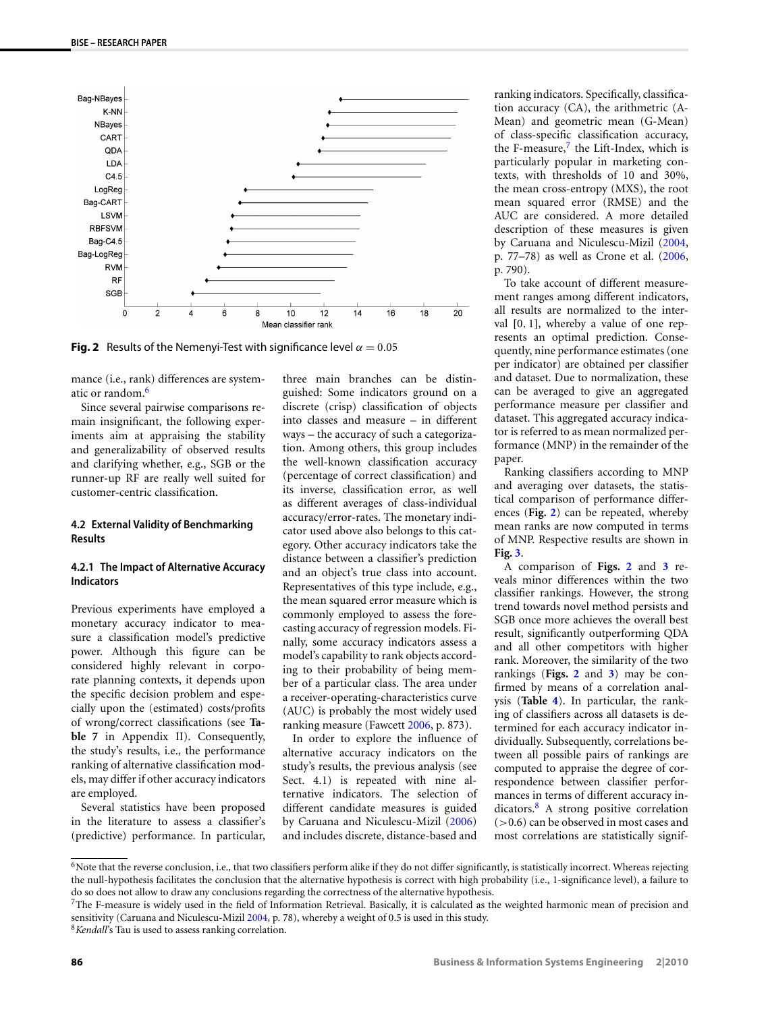<span id="page-7-0"></span>

**Fig. 2** Results of the Nemenyi-Test with significance level  $\alpha = 0.05$ 

mance (i.e., rank) differences are systematic or random.<sup>6</sup>

Since several pairwise comparisons remain insignificant, the following experiments aim at appraising the stability and generalizability of observed results and clarifying whether, e.g., SGB or the runner-up RF are really well suited for customer-centric classification.

#### **4.2 External Validity of Benchmarking Results**

#### **4.2.1 The Impact of Alternative Accuracy Indicators**

Previous experiments have employed a monetary accuracy indicator to measure a classification model's predictive power. Although this figure can be considered highly relevant in corporate planning contexts, it depends upon the specific decision problem and especially upon the (estimated) costs/profits of wrong/correct classifications (see **Table 7** in Appendix II). Consequently, the study's results, i.e., the performance ranking of alternative classification models, may differ if other accuracy indicators are employed.

Several statistics have been proposed in the literature to assess a classifier's (predictive) performance. In particular,

three main branches can be distinguished: Some indicators ground on a discrete (crisp) classification of objects into classes and measure – in different ways – the accuracy of such a categorization. Among others, this group includes the well-known classification accuracy (percentage of correct classification) and its inverse, classification error, as well as different averages of class-individual accuracy/error-rates. The monetary indicator used above also belongs to this category. Other accuracy indicators take the distance between a classifier's prediction and an object's true class into account. Representatives of this type include, e.g., the mean squared error measure which is commonly employed to assess the forecasting accuracy of regression models. Finally, some accuracy indicators assess a model's capability to rank objects according to their probability of being member of a particular class. The area under a receiver-operating-characteristics curve (AUC) is probably the most widely used ranking measure (Fawcett [2006,](#page-13-0) p. 873).

In order to explore the influence of alternative accuracy indicators on the study's results, the previous analysis (see Sect. 4.1) is repeated with nine alternative indicators. The selection of different candidate measures is guided by Caruana and Niculescu-Mizil [\(2006](#page-13-0)) and includes discrete, distance-based and

ranking indicators. Specifically, classification accuracy (CA), the arithmetric (A-Mean) and geometric mean (G-Mean) of class-specific classification accuracy, the F-measure, $7$  the Lift-Index, which is particularly popular in marketing contexts, with thresholds of 10 and 30%, the mean cross-entropy (MXS), the root mean squared error (RMSE) and the AUC are considered. A more detailed description of these measures is given by Caruana and Niculescu-Mizil ([2004,](#page-13-0) p. 77–78) as well as Crone et al. ([2006,](#page-13-0) p. 790).

To take account of different measurement ranges among different indicators, all results are normalized to the interval [0*,* 1], whereby a value of one represents an optimal prediction. Consequently, nine performance estimates (one per indicator) are obtained per classifier and dataset. Due to normalization, these can be averaged to give an aggregated performance measure per classifier and dataset. This aggregated accuracy indicator is referred to as mean normalized performance (MNP) in the remainder of the paper.

Ranking classifiers according to MNP and averaging over datasets, the statistical comparison of performance differences (**Fig. 2**) can be repeated, whereby mean ranks are now computed in terms of MNP. Respective results are shown in **Fig. [3](#page-8-0)**.

A comparison of **Figs. 2** and **[3](#page-8-0)** reveals minor differences within the two classifier rankings. However, the strong trend towards novel method persists and SGB once more achieves the overall best result, significantly outperforming QDA and all other competitors with higher rank. Moreover, the similarity of the two rankings (**Figs. 2** and **[3](#page-8-0)**) may be confirmed by means of a correlation analysis (**Table [4](#page-9-0)**). In particular, the ranking of classifiers across all datasets is determined for each accuracy indicator individually. Subsequently, correlations between all possible pairs of rankings are computed to appraise the degree of correspondence between classifier performances in terms of different accuracy indicators.8 A strong positive correlation (*>*0.6) can be observed in most cases and most correlations are statistically signif-

 $6$ Note that the reverse conclusion, i.e., that two classifiers perform alike if they do not differ significantly, is statistically incorrect. Whereas rejecting the null-hypothesis facilitates the conclusion that the alternative hypothesis is correct with high probability (i.e., 1-significance level), a failure to do so does not allow to draw any conclusions regarding the correctness of the alternative hypothesis.

<sup>&</sup>lt;sup>7</sup>The F-measure is widely used in the field of Information Retrieval. Basically, it is calculated as the weighted harmonic mean of precision and sensitivity (Caruana and Niculescu-Mizil [2004,](#page-13-0) p. 78), whereby a weight of 0.5 is used in this study.

<sup>8</sup>*Kendall*'s Tau is used to assess ranking correlation.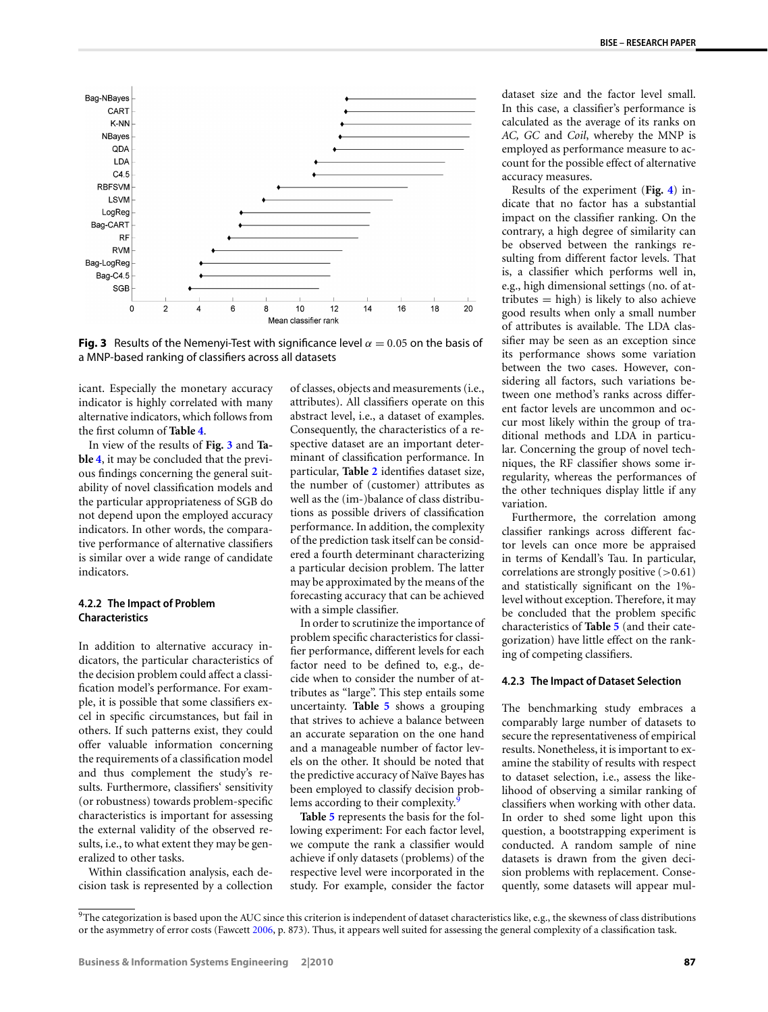<span id="page-8-0"></span>

**Fig. 3** Results of the Nemenyi-Test with significance level  $\alpha = 0.05$  on the basis of a MNP-based ranking of classifiers across all datasets

icant. Especially the monetary accuracy indicator is highly correlated with many alternative indicators, which follows from the first column of **Table [4](#page-9-0)**.

In view of the results of **Fig. [3](#page-5-0)** and **Table [4](#page-9-0)**, it may be concluded that the previous findings concerning the general suitability of novel classification models and the particular appropriateness of SGB do not depend upon the employed accuracy indicators. In other words, the comparative performance of alternative classifiers is similar over a wide range of candidate indicators.

#### **4.2.2 The Impact of Problem Characteristics**

In addition to alternative accuracy indicators, the particular characteristics of the decision problem could affect a classification model's performance. For example, it is possible that some classifiers excel in specific circumstances, but fail in others. If such patterns exist, they could offer valuable information concerning the requirements of a classification model and thus complement the study's results. Furthermore, classifiers' sensitivity (or robustness) towards problem-specific characteristics is important for assessing the external validity of the observed results, i.e., to what extent they may be generalized to other tasks.

Within classification analysis, each decision task is represented by a collection of classes, objects and measurements (i.e., attributes). All classifiers operate on this abstract level, i.e., a dataset of examples. Consequently, the characteristics of a respective dataset are an important determinant of classification performance. In particular, **Table [2](#page-4-0)** identifies dataset size, the number of (customer) attributes as well as the (im-)balance of class distributions as possible drivers of classification performance. In addition, the complexity of the prediction task itself can be considered a fourth determinant characterizing a particular decision problem. The latter may be approximated by the means of the forecasting accuracy that can be achieved with a simple classifier.

In order to scrutinize the importance of problem specific characteristics for classifier performance, different levels for each factor need to be defined to, e.g., decide when to consider the number of attributes as "large". This step entails some uncertainty. **Table [5](#page-9-0)** shows a grouping that strives to achieve a balance between an accurate separation on the one hand and a manageable number of factor levels on the other. It should be noted that the predictive accuracy of Naïve Bayes has been employed to classify decision problems according to their complexity.<sup>9</sup>

**Table [5](#page-9-0)** represents the basis for the following experiment: For each factor level, we compute the rank a classifier would achieve if only datasets (problems) of the respective level were incorporated in the study. For example, consider the factor dataset size and the factor level small. In this case, a classifier's performance is calculated as the average of its ranks on *AC, GC* and *Coil*, whereby the MNP is employed as performance measure to account for the possible effect of alternative accuracy measures.

Results of the experiment (**Fig. [4](#page-10-0)**) indicate that no factor has a substantial impact on the classifier ranking. On the contrary, a high degree of similarity can be observed between the rankings resulting from different factor levels. That is, a classifier which performs well in, e.g., high dimensional settings (no. of at $tributes = high)$  is likely to also achieve good results when only a small number of attributes is available. The LDA classifier may be seen as an exception since its performance shows some variation between the two cases. However, considering all factors, such variations between one method's ranks across different factor levels are uncommon and occur most likely within the group of traditional methods and LDA in particular. Concerning the group of novel techniques, the RF classifier shows some irregularity, whereas the performances of the other techniques display little if any variation.

Furthermore, the correlation among classifier rankings across different factor levels can once more be appraised in terms of Kendall's Tau. In particular, correlations are strongly positive (*>*0.61) and statistically significant on the 1% level without exception. Therefore, it may be concluded that the problem specific characteristics of **Table [5](#page-9-0)** (and their categorization) have little effect on the ranking of competing classifiers.

#### **4.2.3 The Impact of Dataset Selection**

The benchmarking study embraces a comparably large number of datasets to secure the representativeness of empirical results. Nonetheless, it is important to examine the stability of results with respect to dataset selection, i.e., assess the likelihood of observing a similar ranking of classifiers when working with other data. In order to shed some light upon this question, a bootstrapping experiment is conducted. A random sample of nine datasets is drawn from the given decision problems with replacement. Consequently, some datasets will appear mul-

 $9$ The categorization is based upon the AUC since this criterion is independent of dataset characteristics like, e.g., the skewness of class distributions or the asymmetry of error costs (Fawcett [2006](#page-13-0), p. 873). Thus, it appears well suited for assessing the general complexity of a classification task.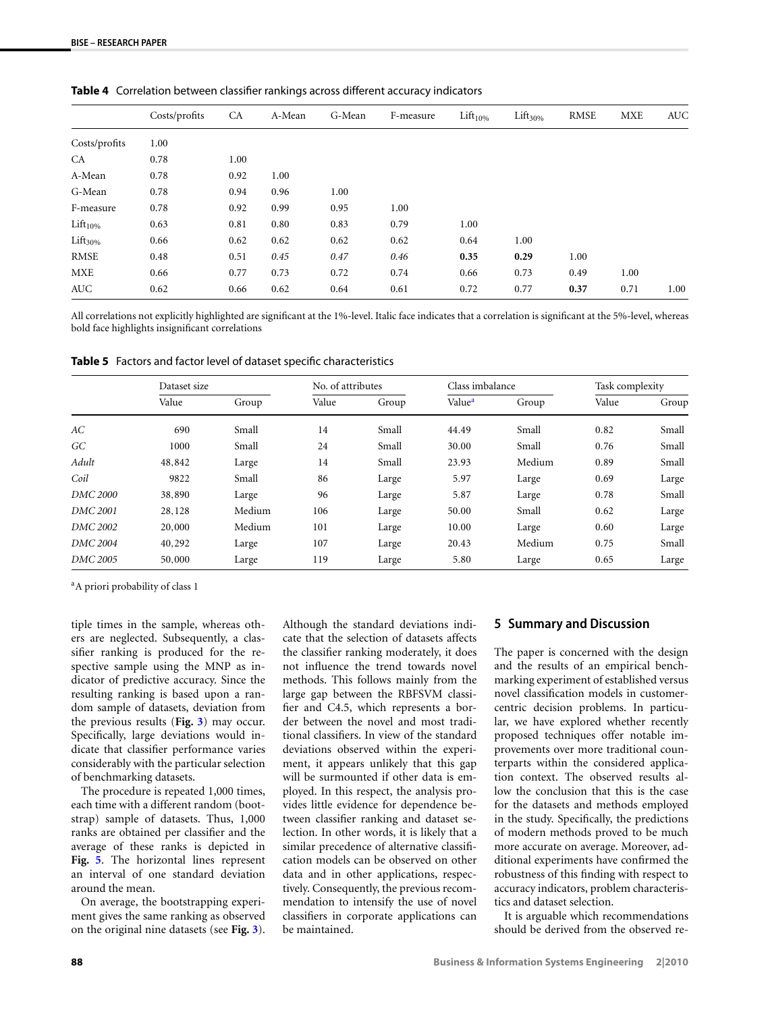|                | Costs/profits | <b>CA</b> | A-Mean | G-Mean | F-measure | Lift $_{10\%}$ | $Lift30%$ | <b>RMSE</b> | <b>MXE</b> | <b>AUC</b> |
|----------------|---------------|-----------|--------|--------|-----------|----------------|-----------|-------------|------------|------------|
| Costs/profits  | 1.00          |           |        |        |           |                |           |             |            |            |
| CA             | 0.78          | 1.00      |        |        |           |                |           |             |            |            |
| A-Mean         | 0.78          | 0.92      | 1.00   |        |           |                |           |             |            |            |
| G-Mean         | 0.78          | 0.94      | 0.96   | 1.00   |           |                |           |             |            |            |
| F-measure      | 0.78          | 0.92      | 0.99   | 0.95   | 1.00      |                |           |             |            |            |
| Lift $_{10\%}$ | 0.63          | 0.81      | 0.80   | 0.83   | 0.79      | 1.00           |           |             |            |            |
| Lift $30\%$    | 0.66          | 0.62      | 0.62   | 0.62   | 0.62      | 0.64           | 1.00      |             |            |            |
| RMSE           | 0.48          | 0.51      | 0.45   | 0.47   | 0.46      | 0.35           | 0.29      | 1.00        |            |            |
| <b>MXE</b>     | 0.66          | 0.77      | 0.73   | 0.72   | 0.74      | 0.66           | 0.73      | 0.49        | 1.00       |            |
| AUC            | 0.62          | 0.66      | 0.62   | 0.64   | 0.61      | 0.72           | 0.77      | 0.37        | 0.71       | 1.00       |

<span id="page-9-0"></span>**Table 4** Correlation between classifier rankings across different accuracy indicators

All correlations not explicitly highlighted are significant at the 1%-level. Italic face indicates that a correlation is significant at the 5%-level, whereas bold face highlights insignificant correlations

**Table 5** Factors and factor level of dataset specific characteristics

|                 | Dataset size |        | No. of attributes |       |                    | Class imbalance |       | Task complexity |
|-----------------|--------------|--------|-------------------|-------|--------------------|-----------------|-------|-----------------|
|                 | Value        | Group  | Value             | Group | Value <sup>a</sup> | Group           | Value | Group           |
| АC              | 690          | Small  | 14                | Small | 44.49              | Small           | 0.82  | Small           |
| GC.             | 1000         | Small  | 24                | Small | 30.00              | Small           | 0.76  | Small           |
| Adult           | 48,842       | Large  | 14                | Small | 23.93              | Medium          | 0.89  | Small           |
| Coil            | 9822         | Small  | 86                | Large | 5.97               | Large           | 0.69  | Large           |
| <b>DMC 2000</b> | 38.890       | Large  | 96                | Large | 5.87               | Large           | 0.78  | Small           |
| <b>DMC 2001</b> | 28,128       | Medium | 106               | Large | 50.00              | Small           | 0.62  | Large           |
| DMC 2002        | 20,000       | Medium | 101               | Large | 10.00              | Large           | 0.60  | Large           |
| <b>DMC 2004</b> | 40,292       | Large  | 107               | Large | 20.43              | Medium          | 0.75  | Small           |
| DMC 2005        | 50,000       | Large  | 119               | Large | 5.80               | Large           | 0.65  | Large           |

<sup>a</sup>A priori probability of class 1

tiple times in the sample, whereas others are neglected. Subsequently, a classifier ranking is produced for the respective sample using the MNP as indicator of predictive accuracy. Since the resulting ranking is based upon a random sample of datasets, deviation from the previous results (**Fig. [3](#page-8-0)**) may occur. Specifically, large deviations would indicate that classifier performance varies considerably with the particular selection of benchmarking datasets.

The procedure is repeated 1,000 times, each time with a different random (bootstrap) sample of datasets. Thus, 1,000 ranks are obtained per classifier and the average of these ranks is depicted in **Fig. [5](#page-11-0)**. The horizontal lines represent an interval of one standard deviation around the mean.

On average, the bootstrapping experiment gives the same ranking as observed on the original nine datasets (see **Fig. [3](#page-8-0)**).

Although the standard deviations indicate that the selection of datasets affects the classifier ranking moderately, it does not influence the trend towards novel methods. This follows mainly from the large gap between the RBFSVM classifier and C4.5, which represents a border between the novel and most traditional classifiers. In view of the standard deviations observed within the experiment, it appears unlikely that this gap will be surmounted if other data is employed. In this respect, the analysis provides little evidence for dependence between classifier ranking and dataset selection. In other words, it is likely that a similar precedence of alternative classification models can be observed on other data and in other applications, respectively. Consequently, the previous recommendation to intensify the use of novel classifiers in corporate applications can be maintained.

#### **5 Summary and Discussion**

The paper is concerned with the design and the results of an empirical benchmarking experiment of established versus novel classification models in customercentric decision problems. In particular, we have explored whether recently proposed techniques offer notable improvements over more traditional counterparts within the considered application context. The observed results allow the conclusion that this is the case for the datasets and methods employed in the study. Specifically, the predictions of modern methods proved to be much more accurate on average. Moreover, additional experiments have confirmed the robustness of this finding with respect to accuracy indicators, problem characteristics and dataset selection.

It is arguable which recommendations should be derived from the observed re-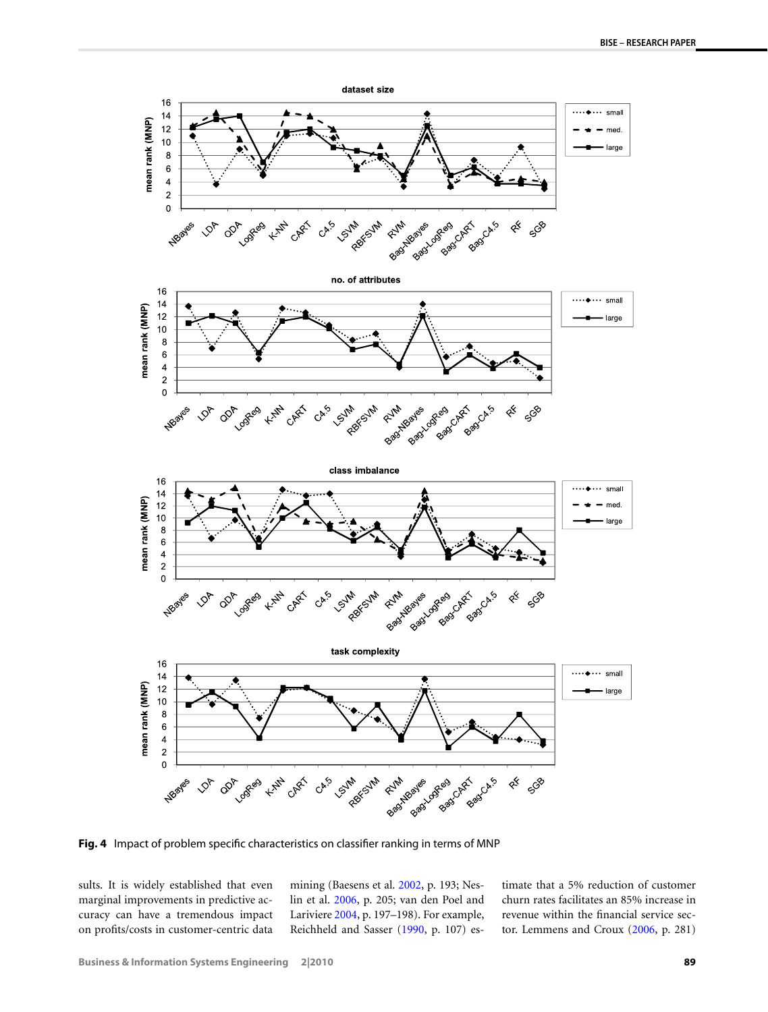<span id="page-10-0"></span>

**Fig. 4** Impact of problem specific characteristics on classifier ranking in terms of MNP

sults. It is widely established that even marginal improvements in predictive accuracy can have a tremendous impact on profits/costs in customer-centric data

mining (Baesens et al. [2002](#page-12-0), p. 193; Neslin et al. [2006](#page-13-0), p. 205; van den Poel and Lariviere [2004](#page-13-0), p. 197–198). For example, Reichheld and Sasser ([1990,](#page-13-0) p. 107) es-

timate that a 5% reduction of customer churn rates facilitates an 85% increase in revenue within the financial service sector. Lemmens and Croux [\(2006](#page-13-0), p. 281)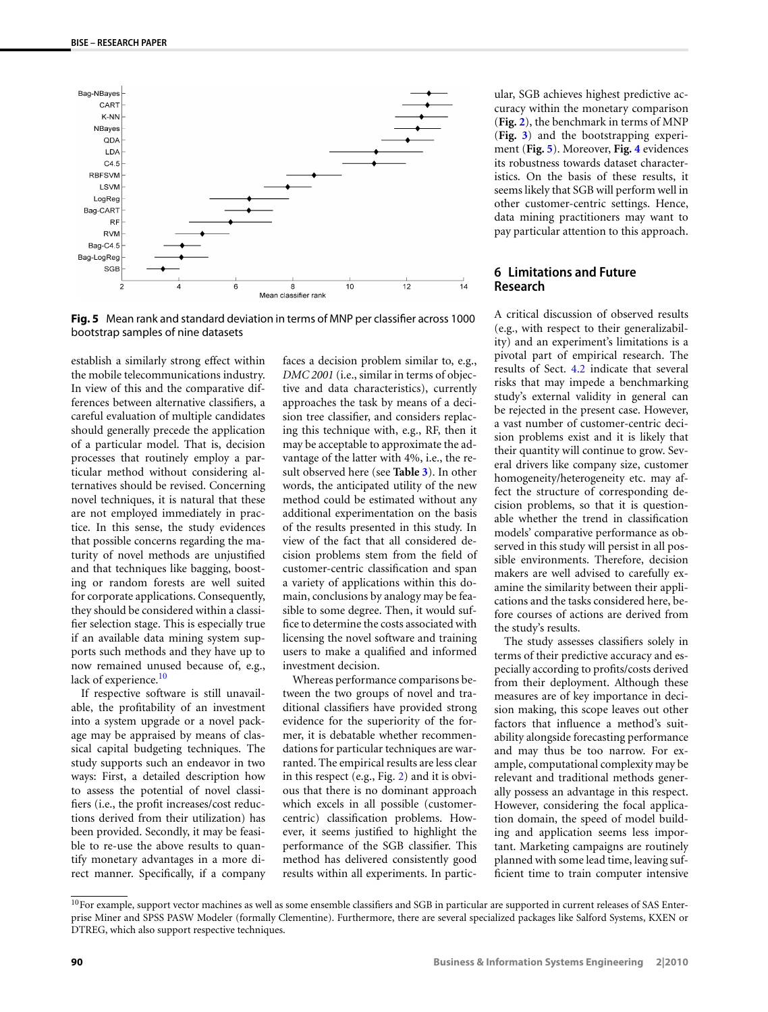<span id="page-11-0"></span>

**Fig. 5** Mean rank and standard deviation in terms of MNP per classifier across 1000 bootstrap samples of nine datasets

establish a similarly strong effect within the mobile telecommunications industry. In view of this and the comparative differences between alternative classifiers, a careful evaluation of multiple candidates should generally precede the application of a particular model. That is, decision processes that routinely employ a particular method without considering alternatives should be revised. Concerning novel techniques, it is natural that these are not employed immediately in practice. In this sense, the study evidences that possible concerns regarding the maturity of novel methods are unjustified and that techniques like bagging, boosting or random forests are well suited for corporate applications. Consequently, they should be considered within a classifier selection stage. This is especially true if an available data mining system supports such methods and they have up to now remained unused because of, e.g., lack of experience.<sup>10</sup>

If respective software is still unavailable, the profitability of an investment into a system upgrade or a novel package may be appraised by means of classical capital budgeting techniques. The study supports such an endeavor in two ways: First, a detailed description how to assess the potential of novel classifiers (i.e., the profit increases/cost reductions derived from their utilization) has been provided. Secondly, it may be feasible to re-use the above results to quantify monetary advantages in a more direct manner. Specifically, if a company faces a decision problem similar to, e.g., *DMC 2001* (i.e., similar in terms of objective and data characteristics), currently approaches the task by means of a decision tree classifier, and considers replacing this technique with, e.g., RF, then it may be acceptable to approximate the advantage of the latter with 4%, i.e., the result observed here (see **Table [3](#page-5-0)**). In other words, the anticipated utility of the new method could be estimated without any additional experimentation on the basis of the results presented in this study. In view of the fact that all considered decision problems stem from the field of customer-centric classification and span a variety of applications within this domain, conclusions by analogy may be feasible to some degree. Then, it would suffice to determine the costs associated with licensing the novel software and training users to make a qualified and informed investment decision.

Whereas performance comparisons between the two groups of novel and traditional classifiers have provided strong evidence for the superiority of the former, it is debatable whether recommendations for particular techniques are warranted. The empirical results are less clear in this respect (e.g., Fig. [2\)](#page-7-0) and it is obvious that there is no dominant approach which excels in all possible (customercentric) classification problems. However, it seems justified to highlight the performance of the SGB classifier. This method has delivered consistently good results within all experiments. In partic-

ular, SGB achieves highest predictive accuracy within the monetary comparison (**Fig. [2](#page-7-0)**), the benchmark in terms of MNP (**Fig. [3](#page-8-0)**) and the bootstrapping experiment (**Fig. 5**). Moreover, **Fig. [4](#page-10-0)** evidences its robustness towards dataset characteristics. On the basis of these results, it seems likely that SGB will perform well in other customer-centric settings. Hence, data mining practitioners may want to pay particular attention to this approach.

#### **6 Limitations and Future Research**

A critical discussion of observed results (e.g., with respect to their generalizability) and an experiment's limitations is a pivotal part of empirical research. The results of Sect. [4.2](#page-7-0) indicate that several risks that may impede a benchmarking study's external validity in general can be rejected in the present case. However, a vast number of customer-centric decision problems exist and it is likely that their quantity will continue to grow. Several drivers like company size, customer homogeneity/heterogeneity etc. may affect the structure of corresponding decision problems, so that it is questionable whether the trend in classification models' comparative performance as observed in this study will persist in all possible environments. Therefore, decision makers are well advised to carefully examine the similarity between their applications and the tasks considered here, before courses of actions are derived from the study's results.

The study assesses classifiers solely in terms of their predictive accuracy and especially according to profits/costs derived from their deployment. Although these measures are of key importance in decision making, this scope leaves out other factors that influence a method's suitability alongside forecasting performance and may thus be too narrow. For example, computational complexity may be relevant and traditional methods generally possess an advantage in this respect. However, considering the focal application domain, the speed of model building and application seems less important. Marketing campaigns are routinely planned with some lead time, leaving sufficient time to train computer intensive

 $10$ For example, support vector machines as well as some ensemble classifiers and SGB in particular are supported in current releases of SAS Enterprise Miner and SPSS PASW Modeler (formally Clementine). Furthermore, there are several specialized packages like Salford Systems, KXEN or DTREG, which also support respective techniques.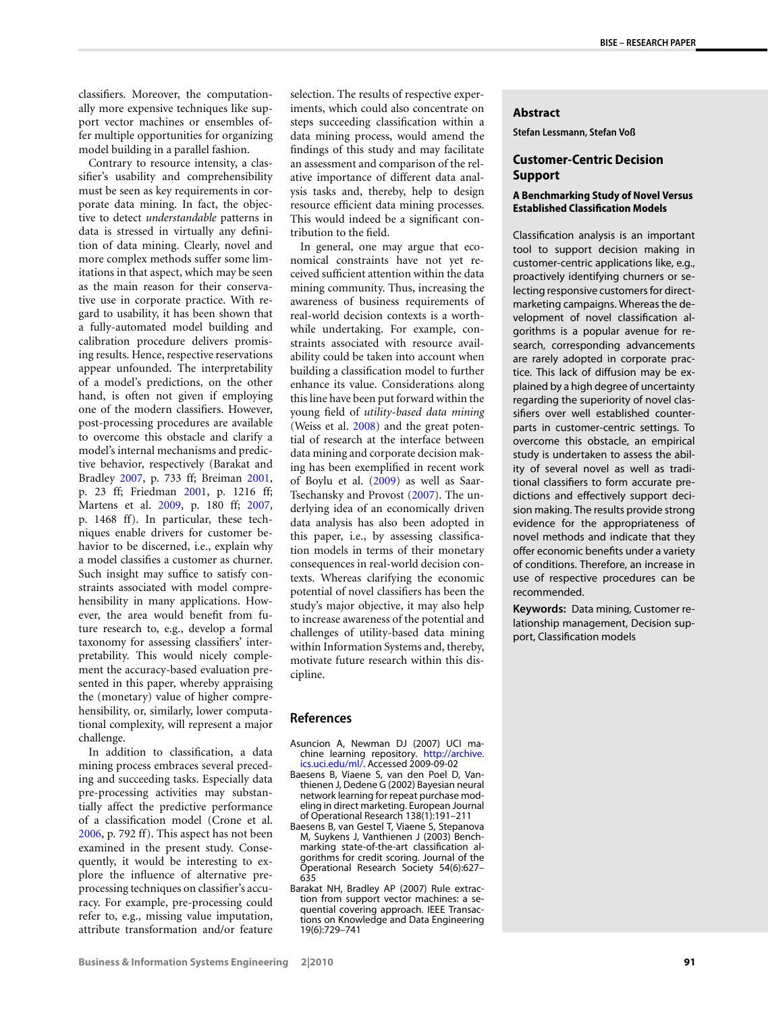<span id="page-12-0"></span>classifiers. Moreover, the computationally more expensive techniques like support vector machines or ensembles offer multiple opportunities for organizing model building in a parallel fashion.

Contrary to resource intensity, a classifier's usability and comprehensibility must be seen as key requirements in corporate data mining. In fact, the objective to detect *understandable* patterns in data is stressed in virtually any definition of data mining. Clearly, novel and more complex methods suffer some limitations in that aspect, which may be seen as the main reason for their conservative use in corporate practice. With regard to usability, it has been shown that a fully-automated model building and calibration procedure delivers promising results. Hence, respective reservations appear unfounded. The interpretability of a model's predictions, on the other hand, is often not given if employing one of the modern classifiers. However, post-processing procedures are available to overcome this obstacle and clarify a model's internal mechanisms and predictive behavior, respectively (Barakat and Bradley 2007, p. 733 ff; Breiman [2001,](#page-13-0) p. 23 ff; Friedman [2001](#page-13-0), p. 1216 ff; Martens et al. [2009,](#page-13-0) p. 180 ff; [2007,](#page-13-0) p. 1468 ff). In particular, these techniques enable drivers for customer behavior to be discerned, i.e., explain why a model classifies a customer as churner. Such insight may suffice to satisfy constraints associated with model comprehensibility in many applications. However, the area would benefit from future research to, e.g., develop a formal taxonomy for assessing classifiers' interpretability. This would nicely complement the accuracy-based evaluation presented in this paper, whereby appraising the (monetary) value of higher comprehensibility, or, similarly, lower computational complexity, will represent a major challenge.

In addition to classification, a data mining process embraces several preceding and succeeding tasks. Especially data pre-processing activities may substantially affect the predictive performance of a classification model (Crone et al. [2006,](#page-13-0) p. 792 ff). This aspect has not been examined in the present study. Consequently, it would be interesting to explore the influence of alternative preprocessing techniques on classifier's accuracy. For example, pre-processing could refer to, e.g., missing value imputation, attribute transformation and/or feature selection. The results of respective experiments, which could also concentrate on steps succeeding classification within a data mining process, would amend the findings of this study and may facilitate an assessment and comparison of the relative importance of different data analysis tasks and, thereby, help to design resource efficient data mining processes. This would indeed be a significant contribution to the field.

In general, one may argue that economical constraints have not yet received sufficient attention within the data mining community. Thus, increasing the awareness of business requirements of real-world decision contexts is a worthwhile undertaking. For example, constraints associated with resource availability could be taken into account when building a classification model to further enhance its value. Considerations along this line have been put forward within the young field of *utility-based data mining* (Weiss et al. [2008](#page-14-0)) and the great potential of research at the interface between data mining and corporate decision making has been exemplified in recent work of Boylu et al. [\(2009](#page-13-0)) as well as Saar-Tsechansky and Provost [\(2007](#page-13-0)). The underlying idea of an economically driven data analysis has also been adopted in this paper, i.e., by assessing classification models in terms of their monetary consequences in real-world decision contexts. Whereas clarifying the economic potential of novel classifiers has been the study's major objective, it may also help to increase awareness of the potential and challenges of utility-based data mining within Information Systems and, thereby, motivate future research within this discipline.

#### **References**

- Asuncion A, Newman DJ (2007) UCI machine learning repository. [http://archive.](http://archive.ics.uci.edu/ml/) [ics.uci.edu/ml/](http://archive.ics.uci.edu/ml/). Accessed 2009-09-02
- Baesens B, Viaene S, van den Poel D, Vanthienen J, Dedene G (2002) Bayesian neural network learning for repeat purchase modeling in direct marketing. European Journal of Operational Research 138(1):191–211
- Baesens B, van Gestel T, Viaene S, Stepanova M, Suykens J, Vanthienen J (2003) Benchmarking state-of-the-art classification algorithms for credit scoring. Journal of the Operational Research Society 54(6):627– 635
- Barakat NH, Bradley AP (2007) Rule extraction from support vector machines: a sequential covering approach. IEEE Transactions on Knowledge and Data Engineering 19(6):729–741

#### **Abstract**

**Stefan Lessmann, Stefan Voß**

#### **Customer-Centric Decision Support**

#### **A Benchmarking Study of Novel Versus Established Classification Models**

Classification analysis is an important tool to support decision making in customer-centric applications like, e.g., proactively identifying churners or selecting responsive customers for directmarketing campaigns. Whereas the development of novel classification algorithms is a popular avenue for research, corresponding advancements are rarely adopted in corporate practice. This lack of diffusion may be explained by a high degree of uncertainty regarding the superiority of novel classifiers over well established counterparts in customer-centric settings. To overcome this obstacle, an empirical study is undertaken to assess the ability of several novel as well as traditional classifiers to form accurate predictions and effectively support decision making. The results provide strong evidence for the appropriateness of novel methods and indicate that they offer economic benefits under a variety of conditions. Therefore, an increase in use of respective procedures can be recommended.

**Keywords:** Data mining, Customer relationship management, Decision support, Classification models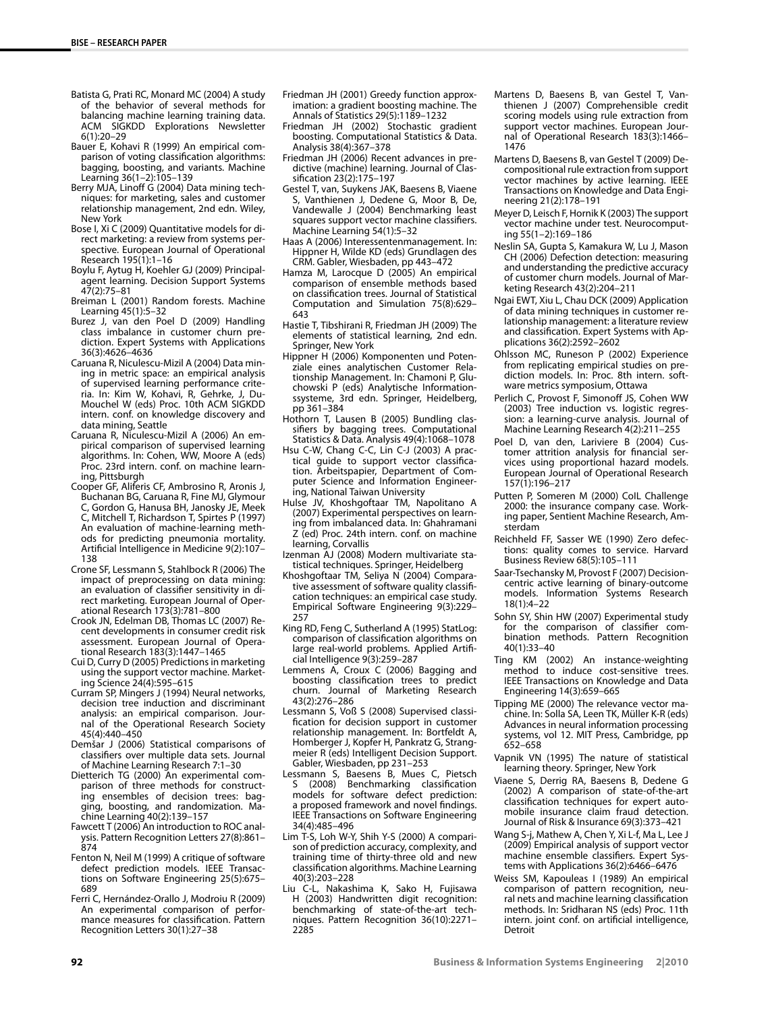- <span id="page-13-0"></span>Batista G, Prati RC, Monard MC (2004) A study of the behavior of several methods for balancing machine learning training data. ACM SIGKDD Explorations Newsletter 6(1):20–29
- Bauer E, Kohavi R (1999) An empirical comparison of voting classification algorithms: bagging, boosting, and variants. Machine Learning 36(1–2):105–139
- Berry MJA, Linoff G (2004) Data mining techniques: for marketing, sales and customer relationship management, 2nd edn. Wiley, New York
- Bose I, Xi C (2009) Quantitative models for direct marketing: a review from systems perspective. European Journal of Operational Research 195(1):1–16
- Boylu F, Aytug H, Koehler GJ (2009) Principalagent learning. Decision Support Systems 47(2):75–81
- Breiman L (2001) Random forests. Machine Learning 45(1):5–32
- Burez J, van den Poel D (2009) Handling class imbalance in customer churn prediction. Expert Systems with Applications 36(3):4626–4636
- Caruana R, Niculescu-Mizil A (2004) Data mining in metric space: an empirical analysis of supervised learning performance criteria. In: Kim W, Kohavi, R, Gehrke, J, Du-Mouchel W (eds) Proc. 10th ACM SIGKDD intern. conf. on knowledge discovery and data mining, Seattle
- Caruana R, Niculescu-Mizil A (2006) An empirical comparison of supervised learning algorithms. In: Cohen, WW, Moore A (eds) Proc. 23rd intern. conf. on machine learning, Pittsburgh
- Cooper GF, Aliferis CF, Ambrosino R, Aronis J, Buchanan BG, Caruana R, Fine MJ, Glymour C, Gordon G, Hanusa BH, Janosky JE, Meek C, Mitchell T, Richardson T, Spirtes P (1997) An evaluation of machine-learning methods for predicting pneumonia mortality. Artificial Intelligence in Medicine 9(2):107– 138
- Crone SF, Lessmann S, Stahlbock R (2006) The impact of preprocessing on data mining: an evaluation of classifier sensitivity in direct marketing. European Journal of Operational Research 173(3):781–800
- Crook JN, Edelman DB, Thomas LC (2007) Recent developments in consumer credit risk assessment. European Journal of Operational Research 183(3):1447–1465
- Cui D, Curry D (2005) Predictions in marketing using the support vector machine. Marketing Science 24(4):595–615
- Curram SP, Mingers J (1994) Neural networks, decision tree induction and discriminant analysis: an empirical comparison. Journal of the Operational Research Society 45(4):440–450
- Demšar J (2006) Statistical comparisons of classifiers over multiple data sets. Journal of Machine Learning Research 7:1–30
- Dietterich TG (2000) An experimental comparison of three methods for constructing ensembles of decision trees: bagging, boosting, and randomization. Machine Learning 40(2):139–157
- Fawcett T (2006) An introduction to ROC analysis. Pattern Recognition Letters 27(8):861– 874
- Fenton N, Neil M (1999) A critique of software defect prediction models. IEEE Transactions on Software Engineering 25(5):675– 689
- Ferri C, Hernández-Orallo J, Modroiu R (2009) An experimental comparison of performance measures for classification. Pattern Recognition Letters 30(1):27–38
- Friedman JH (2001) Greedy function approximation: a gradient boosting machine. The Annals of Statistics 29(5):1189–1232
- Friedman JH (2002) Stochastic gradient boosting. Computational Statistics & Data. Analysis 38(4):367–378
- Friedman JH (2006) Recent advances in predictive (machine) learning. Journal of Classification 23(2):175–197
- Gestel T, van, Suykens JAK, Baesens B, Viaene S, Vanthienen J, Dedene G, Moor B, De, Vandewalle J (2004) Benchmarking least squares support vector machine classifiers. Machine Learning 54(1):5–32
- Haas A (2006) Interessentenmanagement. In: Hippner H, Wilde KD (eds) Grundlagen des CRM. Gabler, Wiesbaden, pp 443–472
- Hamza M, Larocque D (2005) An empirical comparison of ensemble methods based on classification trees. Journal of Statistical Computation and Simulation 75(8):629– 643
- Hastie T, Tibshirani R, Friedman JH (2009) The elements of statistical learning, 2nd edn. Springer, New York
- Hippner H (2006) Komponenten und Potenziale eines analytischen Customer Relationship Management. In: Chamoni P, Gluchowski P (eds) Analytische Informationssysteme, 3rd edn. Springer, Heidelberg, pp 361–384
- Hothorn T, Lausen B (2005) Bundling classifiers by bagging trees. Computational Statistics & Data. Analysis 49(4):1068–1078
- Hsu C-W, Chang C-C, Lin C-J (2003) A practical guide to support vector classification. Arbeitspapier, Department of Computer Science and Information Engineering, National Taiwan University
- Hulse JV, Khoshgoftaar TM, Napolitano A (2007) Experimental perspectives on learning from imbalanced data. In: Ghahramani Z (ed) Proc. 24th intern. conf. on machine learning, Corvallis
- Izenman AJ (2008) Modern multivariate statistical techniques. Springer, Heidelberg
- Khoshgoftaar TM, Seliya N (2004) Comparative assessment of software quality classification techniques: an empirical case study. Empirical Software Engineering 9(3):229– 257
- King RD, Feng C, Sutherland A (1995) StatLog: comparison of classification algorithms on large real-world problems. Applied Artificial Intelligence 9(3):259–287
- Lemmens A, Croux C (2006) Bagging and boosting classification trees to predict churn. Journal of Marketing Research 43(2):276–286
- Lessmann S, Voß S (2008) Supervised classification for decision support in customer relationship management. In: Bortfeldt A, Homberger J, Kopfer H, Pankratz G, Strangmeier R (eds) Intelligent Decision Support. Gabler, Wiesbaden, pp 231–253
- Lessmann S, Baesens B, Mues C, Pietsch S (2008) Benchmarking classification models for software defect prediction: a proposed framework and novel findings. IEEE Transactions on Software Engineering 34(4):485–496
- Lim T-S, Loh W-Y, Shih Y-S (2000) A comparison of prediction accuracy, complexity, and training time of thirty-three old and new classification algorithms. Machine Learning 40(3):203–228
- Liu C-L, Nakashima K, Sako H, Fujisawa H (2003) Handwritten digit recognition: benchmarking of state-of-the-art techniques. Pattern Recognition 36(10):2271– 2285
- Martens D, Baesens B, van Gestel T, Vanthienen J (2007) Comprehensible credit scoring models using rule extraction from support vector machines. European Journal of Operational Research 183(3):1466– 1476
- Martens D, Baesens B, van Gestel T (2009) Decompositional rule extraction from support vector machines by active learning. IEEE Transactions on Knowledge and Data Engineering 21(2):178–191
- Meyer D, Leisch F, Hornik K (2003) The support vector machine under test. Neurocomputing 55(1–2):169–186
- Neslin SA, Gupta S, Kamakura W, Lu J, Mason CH (2006) Defection detection: measuring and understanding the predictive accuracy of customer churn models. Journal of Marketing Research 43(2):204–211
- Ngai EWT, Xiu L, Chau DCK (2009) Application of data mining techniques in customer relationship management: a literature review and classification. Expert Systems with Applications 36(2):2592–2602
- Ohlsson MC, Runeson P (2002) Experience from replicating empirical studies on prediction models. In: Proc. 8th intern. software metrics symposium, Ottawa
- Perlich C, Provost F, Simonoff JS, Cohen WW (2003) Tree induction vs. logistic regression: a learning-curve analysis. Journal of Machine Learning Research 4(2):211–255
- Poel D, van den, Lariviere B (2004) Customer attrition analysis for financial services using proportional hazard models. European Journal of Operational Research 157(1):196–217
- Putten P, Someren M (2000) CoIL Challenge 2000: the insurance company case. Working paper, Sentient Machine Research, Amsterdam
- Reichheld FF, Sasser WE (1990) Zero defections: quality comes to service. Harvard Business Review 68(5):105–111
- Saar-Tsechansky M, Provost F (2007) Decisioncentric active learning of binary-outcome models. Information Systems Research 18(1):4–22
- Sohn SY, Shin HW (2007) Experimental study for the comparison of classifier combination methods. Pattern Recognition 40(1):33–40
- Ting KM (2002) An instance-weighting method to induce cost-sensitive trees. IEEE Transactions on Knowledge and Data Engineering 14(3):659–665
- Tipping ME (2000) The relevance vector machine. In: Solla SA, Leen TK, Müller K-R (eds) Advances in neural information processing systems, vol 12. MIT Press, Cambridge, pp 652–658
- Vapnik VN (1995) The nature of statistical learning theory. Springer, New York
- Viaene S, Derrig RA, Baesens B, Dedene G (2002) A comparison of state-of-the-art classification techniques for expert automobile insurance claim fraud detection. Journal of Risk & Insurance 69(3):373–421
- Wang S-j, Mathew A, Chen Y, Xi L-f, Ma L, Lee J (2009) Empirical analysis of support vector machine ensemble classifiers. Expert Systems with Applications 36(2):6466–6476
- Weiss SM, Kapouleas I (1989) An empirical comparison of pattern recognition, neural nets and machine learning classification methods. In: Sridharan NS (eds) Proc. 11th intern. joint conf. on artificial intelligence, **Detroit**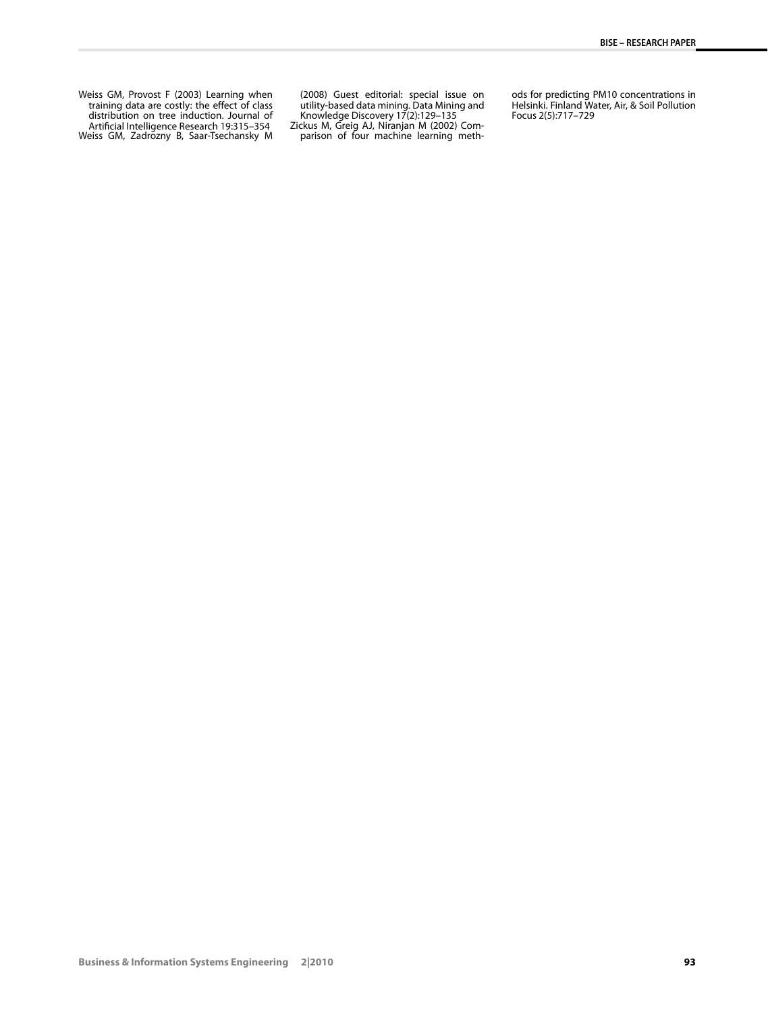<span id="page-14-0"></span>Weiss GM, Provost F (2003) Learning when training data are costly: the effect of class distribution on tree induction. Journal of Artificial Intelligence Research 19:315–354 Weiss GM, Zadrozny B, Saar-Tsechansky M (2008) Guest editorial: special issue on utility-based data mining. Data Mining and

Knowledge Discovery 17(2):129–135 Zickus M, Greig AJ, Niranjan M (2002) Comparison of four machine learning methods for predicting PM10 concentrations in Helsinki. Finland Water, Air, & Soil Pollution Focus 2(5):717–729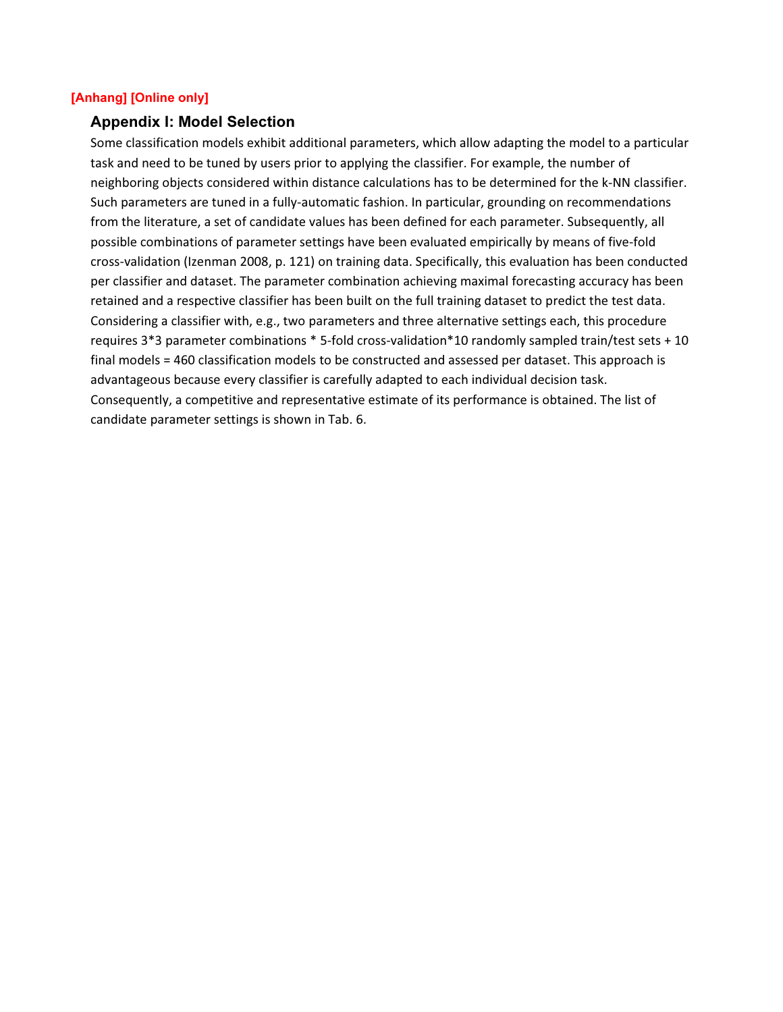## [Anhang] [Online only]

### Appendix I: Model Selection

Some classification models exhibit additional parameters, which allow adapting the model to a particular task and need to be tuned by users prior to applying the classifier. For example, the number of neighboring objects considered within distance calculations has to be determined for the k-NN classifier. Such parameters are tuned in a fully-automatic fashion. In particular, grounding on recommendations from the literature, a set of candidate values has been defined for each parameter. Subsequently, all possible combinations of parameter settings have been evaluated empirically by means of five-fold cross-validation (Izenman 2008, p. 121) on training data. Specifically, this evaluation has been conducted per classifier and dataset. The parameter combination achieving maximal forecasting accuracy has been retained and a respective classifier has been built on the full training dataset to predict the test data. Considering a classifier with, e.g., two parameters and three alternative settings each, this procedure requires 3\*3 parameter combinations \* 5-fold cross-validation\*10 randomly sampled train/test sets + 10 final models = 460 classification models to be constructed and assessed per dataset. This approach is advantageous because every classifier is carefully adapted to each individual decision task. Consequently, a competitive and representative estimate of its performance is obtained. The list of candidate parameter settings is shown in Tab. 6.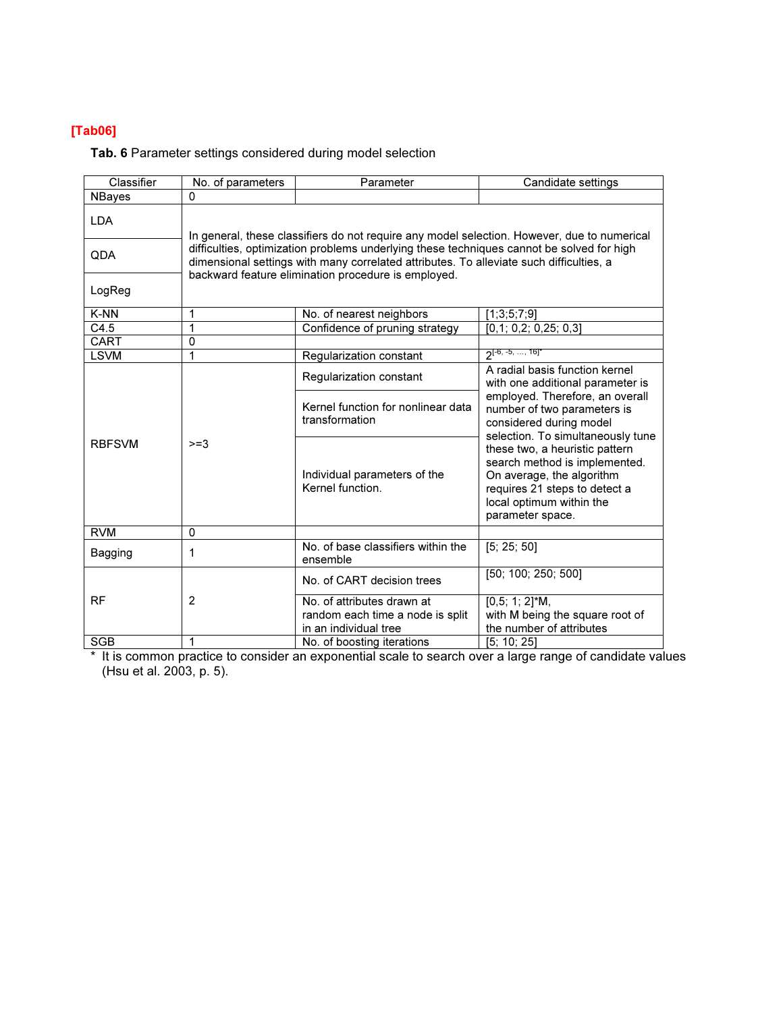## [Tab06]

## Tab. 6 Parameter settings considered during model selection

| Classifier    | No. of parameters | Parameter                                                                                                                                                                            | Candidate settings                                                                                                                                                            |
|---------------|-------------------|--------------------------------------------------------------------------------------------------------------------------------------------------------------------------------------|-------------------------------------------------------------------------------------------------------------------------------------------------------------------------------|
| <b>NBayes</b> | 0                 |                                                                                                                                                                                      |                                                                                                                                                                               |
| <b>LDA</b>    |                   | In general, these classifiers do not require any model selection. However, due to numerical                                                                                          |                                                                                                                                                                               |
| QDA           |                   | difficulties, optimization problems underlying these techniques cannot be solved for high<br>dimensional settings with many correlated attributes. To alleviate such difficulties, a |                                                                                                                                                                               |
| LogReg        |                   | backward feature elimination procedure is employed.                                                                                                                                  |                                                                                                                                                                               |
| K-NN          | 1                 | No. of nearest neighbors                                                                                                                                                             | [1:3:5:7:9]                                                                                                                                                                   |
| C4.5          | 1                 | Confidence of pruning strategy                                                                                                                                                       | [0,1; 0,2; 0,25; 0,3]                                                                                                                                                         |
| CART          | 0                 |                                                                                                                                                                                      |                                                                                                                                                                               |
| <b>LSVM</b>   | 1                 | Regularization constant                                                                                                                                                              | -16, -5, , 16]                                                                                                                                                                |
|               |                   | Regularization constant                                                                                                                                                              | A radial basis function kernel<br>with one additional parameter is                                                                                                            |
|               |                   | Kernel function for nonlinear data<br>transformation                                                                                                                                 | employed. Therefore, an overall<br>number of two parameters is<br>considered during model<br>selection. To simultaneously tune                                                |
| <b>RBFSVM</b> | $>=3$             | Individual parameters of the<br>Kernel function.                                                                                                                                     | these two, a heuristic pattern<br>search method is implemented.<br>On average, the algorithm<br>requires 21 steps to detect a<br>local optimum within the<br>parameter space. |
| <b>RVM</b>    | 0                 |                                                                                                                                                                                      |                                                                                                                                                                               |
| Bagging       | 1                 | No. of base classifiers within the<br>ensemble                                                                                                                                       | [5; 25; 50]                                                                                                                                                                   |
|               |                   | No. of CART decision trees                                                                                                                                                           | [50; 100; 250; 500]                                                                                                                                                           |
| <b>RF</b>     | $\overline{2}$    | No. of attributes drawn at<br>random each time a node is split<br>in an individual tree                                                                                              | $[0,5; 1; 2]$ *M,<br>with M being the square root of<br>the number of attributes                                                                                              |
| <b>SGB</b>    | 1                 | No. of boosting iterations                                                                                                                                                           | [5; 10; 25]                                                                                                                                                                   |

\* It is common practice to consider an exponential scale to search over a large range of candidate values (Hsu et al. 2003, p. 5).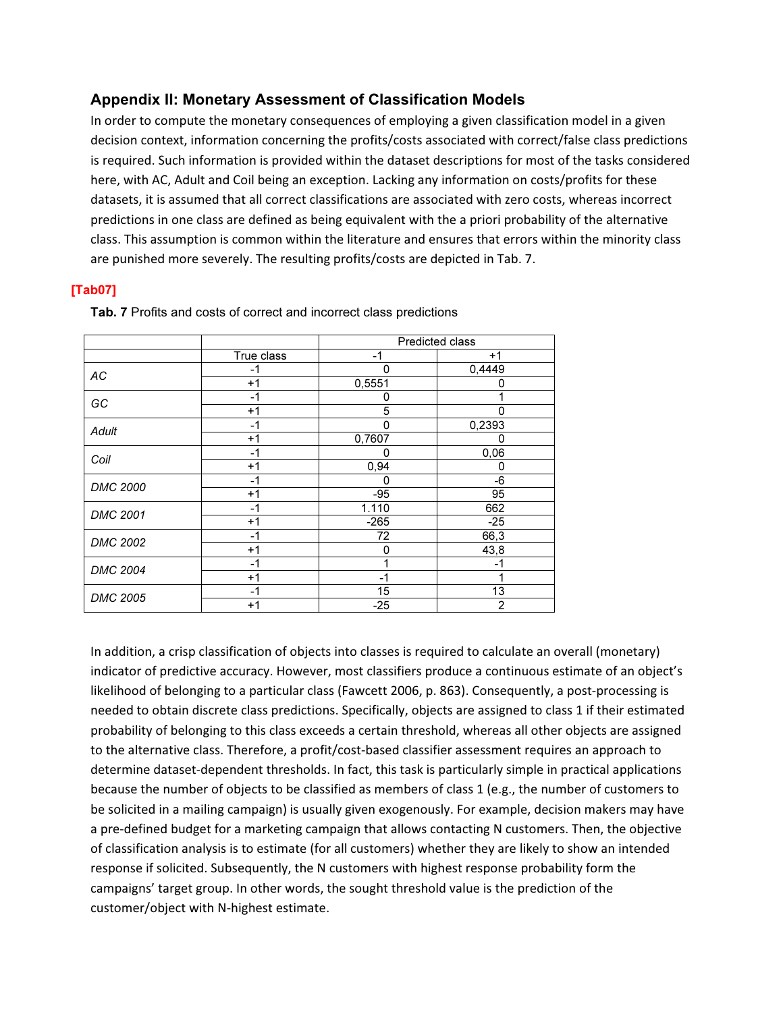## Appendix II: Monetary Assessment of Classification Models

In order to compute the monetary consequences of employing a given classification model in a given decision context, information concerning the profits/costs associated with correct/false class predictions is required. Such information is provided within the dataset descriptions for most of the tasks considered here, with AC, Adult and Coil being an exception. Lacking any information on costs/profits for these datasets, it is assumed that all correct classifications are associated with zero costs, whereas incorrect predictions in one class are defined as being equivalent with the a priori probability of the alternative class. This assumption is common within the literature and ensures that errors within the minority class are punished more severely. The resulting profits/costs are depicted in Tab. 7.

## [Tab07]

|                 |            |        | Predicted class |
|-----------------|------------|--------|-----------------|
|                 | True class | $-1$   | $+1$            |
| AC              | -1         | 0      | 0,4449          |
|                 | $+1$       | 0,5551 | 0               |
| GC              | -1         | 0      |                 |
|                 | $+1$       | 5      | $\Omega$        |
| Adult           | -1         | 0      | 0,2393          |
|                 | $+1$       | 0,7607 | 0               |
| Coil            | -1         | 0      | 0,06            |
|                 | $+1$       | 0,94   | 0               |
| <b>DMC 2000</b> | -1         | O      | -6              |
|                 | $+1$       | $-95$  | 95              |
| <b>DMC 2001</b> | -1         | 1.110  | 662             |
|                 | $+1$       | $-265$ | $-25$           |
| <b>DMC 2002</b> | -1         | 72     | 66,3            |
|                 | $+1$       | 0      | 43,8            |
| <b>DMC 2004</b> | -1         |        | $-1$            |
|                 | $+1$       | -1     |                 |
| <b>DMC 2005</b> | -1         | 15     | 13              |
|                 | $+1$       | $-25$  | 2               |

Tab. 7 Profits and costs of correct and incorrect class predictions

In addition, a crisp classification of objects into classes is required to calculate an overall (monetary) indicator of predictive accuracy. However, most classifiers produce a continuous estimate of an object's likelihood of belonging to a particular class (Fawcett 2006, p. 863). Consequently, a post-processing is needed to obtain discrete class predictions. Specifically, objects are assigned to class 1 if their estimated probability of belonging to this class exceeds a certain threshold, whereas all other objects are assigned to the alternative class. Therefore, a profit/cost-based classifier assessment requires an approach to determine dataset-dependent thresholds. In fact, this task is particularly simple in practical applications because the number of objects to be classified as members of class 1 (e.g., the number of customers to be solicited in a mailing campaign) is usually given exogenously. For example, decision makers may have a pre-defined budget for a marketing campaign that allows contacting N customers. Then, the objective of classification analysis is to estimate (for all customers) whether they are likely to show an intended response if solicited. Subsequently, the N customers with highest response probability form the campaigns' target group. In other words, the sought threshold value is the prediction of the customer/object with N-highest estimate.